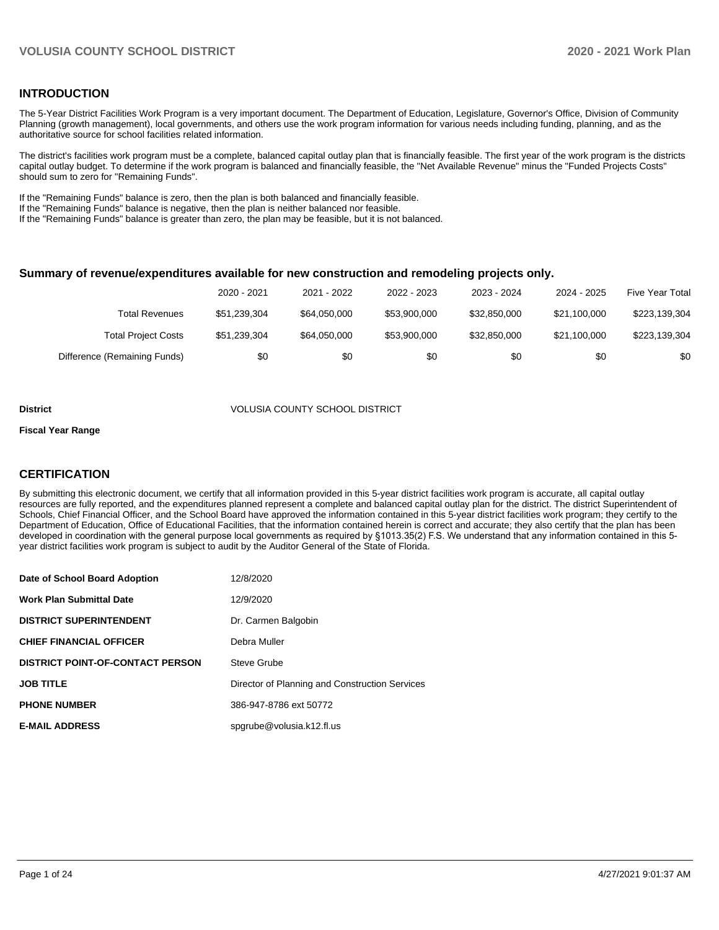### **INTRODUCTION**

The 5-Year District Facilities Work Program is a very important document. The Department of Education, Legislature, Governor's Office, Division of Community Planning (growth management), local governments, and others use the work program information for various needs including funding, planning, and as the authoritative source for school facilities related information.

The district's facilities work program must be a complete, balanced capital outlay plan that is financially feasible. The first year of the work program is the districts capital outlay budget. To determine if the work program is balanced and financially feasible, the "Net Available Revenue" minus the "Funded Projects Costs" should sum to zero for "Remaining Funds".

If the "Remaining Funds" balance is zero, then the plan is both balanced and financially feasible.

If the "Remaining Funds" balance is negative, then the plan is neither balanced nor feasible.

If the "Remaining Funds" balance is greater than zero, the plan may be feasible, but it is not balanced.

#### **Summary of revenue/expenditures available for new construction and remodeling projects only.**

|                              | 2020 - 2021  | 2021 - 2022  | 2022 - 2023  | 2023 - 2024  | 2024 - 2025  | <b>Five Year Total</b> |
|------------------------------|--------------|--------------|--------------|--------------|--------------|------------------------|
| Total Revenues               | \$51,239,304 | \$64,050,000 | \$53,900,000 | \$32.850.000 | \$21.100.000 | \$223,139,304          |
| <b>Total Project Costs</b>   | \$51,239,304 | \$64,050,000 | \$53,900,000 | \$32.850.000 | \$21.100.000 | \$223,139,304          |
| Difference (Remaining Funds) | \$0          | \$0          | \$0          | \$0          | \$0          | \$0                    |

#### **District** VOLUSIA COUNTY SCHOOL DISTRICT

#### **Fiscal Year Range**

## **CERTIFICATION**

By submitting this electronic document, we certify that all information provided in this 5-year district facilities work program is accurate, all capital outlay resources are fully reported, and the expenditures planned represent a complete and balanced capital outlay plan for the district. The district Superintendent of Schools, Chief Financial Officer, and the School Board have approved the information contained in this 5-year district facilities work program; they certify to the Department of Education, Office of Educational Facilities, that the information contained herein is correct and accurate; they also certify that the plan has been developed in coordination with the general purpose local governments as required by §1013.35(2) F.S. We understand that any information contained in this 5 year district facilities work program is subject to audit by the Auditor General of the State of Florida.

| Date of School Board Adoption           | 12/8/2020                                      |
|-----------------------------------------|------------------------------------------------|
| <b>Work Plan Submittal Date</b>         | 12/9/2020                                      |
| <b>DISTRICT SUPERINTENDENT</b>          | Dr. Carmen Balgobin                            |
| <b>CHIEF FINANCIAL OFFICER</b>          | Debra Muller                                   |
| <b>DISTRICT POINT-OF-CONTACT PERSON</b> | Steve Grube                                    |
| <b>JOB TITLE</b>                        | Director of Planning and Construction Services |
| <b>PHONE NUMBER</b>                     | 386-947-8786 ext 50772                         |
| <b>E-MAIL ADDRESS</b>                   | spgrube@volusia.k12.fl.us                      |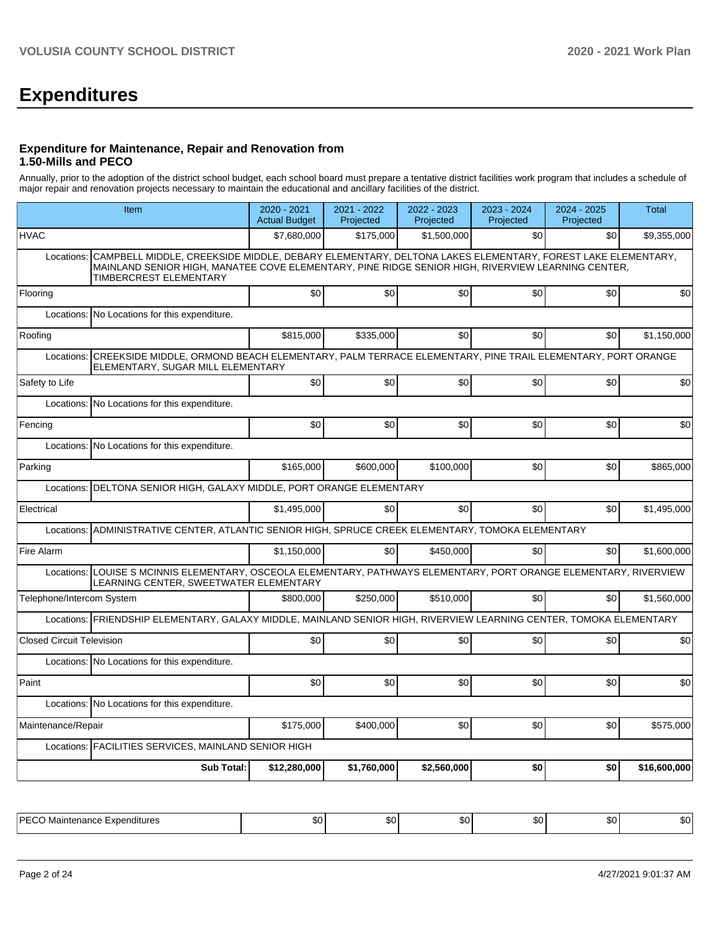# **Expenditures**

#### **Expenditure for Maintenance, Repair and Renovation from 1.50-Mills and PECO**

Annually, prior to the adoption of the district school budget, each school board must prepare a tentative district facilities work program that includes a schedule of major repair and renovation projects necessary to maintain the educational and ancillary facilities of the district.

|                                  | Item                                                                                                                                                                                                                                          |              | 2021 - 2022<br>Projected | 2022 - 2023<br>Projected | 2023 - 2024<br>Projected | 2024 - 2025<br>Projected | <b>Total</b> |  |  |  |
|----------------------------------|-----------------------------------------------------------------------------------------------------------------------------------------------------------------------------------------------------------------------------------------------|--------------|--------------------------|--------------------------|--------------------------|--------------------------|--------------|--|--|--|
| <b>HVAC</b>                      |                                                                                                                                                                                                                                               | \$7,680,000  | \$175.000                | \$1,500,000              | \$0                      | \$0                      | \$9,355,000  |  |  |  |
| Locations:                       | CAMPBELL MIDDLE, CREEKSIDE MIDDLE, DEBARY ELEMENTARY, DELTONA LAKES ELEMENTARY, FOREST LAKE ELEMENTARY,<br>MAINLAND SENIOR HIGH, MANATEE COVE ELEMENTARY, PINE RIDGE SENIOR HIGH, RIVERVIEW LEARNING CENTER,<br><b>TIMBERCREST ELEMENTARY</b> |              |                          |                          |                          |                          |              |  |  |  |
| Flooring                         |                                                                                                                                                                                                                                               | \$0          | \$0                      | \$0                      | \$0                      | \$0                      | \$0          |  |  |  |
| Locations:                       | No Locations for this expenditure.                                                                                                                                                                                                            |              |                          |                          |                          |                          |              |  |  |  |
| Roofing                          |                                                                                                                                                                                                                                               | \$815,000    | \$335,000                | \$0                      | \$0 <sub>1</sub>         | \$0                      | \$1,150,000  |  |  |  |
| Locations:                       | CREEKSIDE MIDDLE, ORMOND BEACH ELEMENTARY, PALM TERRACE ELEMENTARY, PINE TRAIL ELEMENTARY, PORT ORANGE<br>ELEMENTARY, SUGAR MILL ELEMENTARY                                                                                                   |              |                          |                          |                          |                          |              |  |  |  |
| Safety to Life                   |                                                                                                                                                                                                                                               | \$0          | \$0                      | \$0                      | \$0 <sub>1</sub>         | \$0                      | \$0          |  |  |  |
| Locations:                       | No Locations for this expenditure.                                                                                                                                                                                                            |              |                          |                          |                          |                          |              |  |  |  |
| Fencing                          |                                                                                                                                                                                                                                               | \$0          | \$0                      | \$0                      | \$0 <sub>1</sub>         | \$0                      | \$0          |  |  |  |
|                                  | Locations: No Locations for this expenditure.                                                                                                                                                                                                 |              |                          |                          |                          |                          |              |  |  |  |
| Parking                          |                                                                                                                                                                                                                                               | \$165,000    | \$600,000                | \$100,000                | \$0                      | \$0                      | \$865,000    |  |  |  |
| Locations:                       | DELTONA SENIOR HIGH, GALAXY MIDDLE, PORT ORANGE ELEMENTARY                                                                                                                                                                                    |              |                          |                          |                          |                          |              |  |  |  |
| Electrical                       |                                                                                                                                                                                                                                               | \$1,495,000  | \$0                      | \$0                      | \$0 <sub>1</sub>         | \$0                      | \$1,495,000  |  |  |  |
| Locations:                       | ADMINISTRATIVE CENTER, ATLANTIC SENIOR HIGH, SPRUCE CREEK ELEMENTARY, TOMOKA ELEMENTARY                                                                                                                                                       |              |                          |                          |                          |                          |              |  |  |  |
| Fire Alarm                       |                                                                                                                                                                                                                                               | \$1,150,000  | \$0                      | \$450,000                | \$0                      | \$0                      | \$1,600,000  |  |  |  |
|                                  | Locations: LOUISE S MCINNIS ELEMENTARY, OSCEOLA ELEMENTARY, PATHWAYS ELEMENTARY, PORT ORANGE ELEMENTARY, RIVERVIEW<br>LEARNING CENTER, SWEETWATER ELEMENTARY                                                                                  |              |                          |                          |                          |                          |              |  |  |  |
| Telephone/Intercom System        |                                                                                                                                                                                                                                               | \$800,000    | \$250,000                | \$510,000                | \$0                      | \$0                      | \$1,560,000  |  |  |  |
|                                  | Locations: FRIENDSHIP ELEMENTARY, GALAXY MIDDLE, MAINLAND SENIOR HIGH, RIVERVIEW LEARNING CENTER, TOMOKA ELEMENTARY                                                                                                                           |              |                          |                          |                          |                          |              |  |  |  |
| <b>Closed Circuit Television</b> |                                                                                                                                                                                                                                               | \$0          | \$0                      | \$0                      | \$0 <sub>1</sub>         | \$0                      | \$0          |  |  |  |
| Locations:                       | No Locations for this expenditure.                                                                                                                                                                                                            |              |                          |                          |                          |                          |              |  |  |  |
| Paint                            |                                                                                                                                                                                                                                               | \$0          | \$0                      | \$0                      | \$0 <sub>1</sub>         | \$0                      | \$0          |  |  |  |
|                                  | Locations: No Locations for this expenditure.                                                                                                                                                                                                 |              |                          |                          |                          |                          |              |  |  |  |
| Maintenance/Repair               |                                                                                                                                                                                                                                               | \$175,000    | \$400,000                | \$0                      | \$0                      | \$0                      | \$575,000    |  |  |  |
|                                  | Locations: FACILITIES SERVICES, MAINLAND SENIOR HIGH                                                                                                                                                                                          |              |                          |                          |                          |                          |              |  |  |  |
|                                  | <b>Sub Total:</b>                                                                                                                                                                                                                             | \$12,280,000 | \$1,760,000              | \$2,560,000              | \$0                      | \$0                      | \$16,600,000 |  |  |  |
|                                  |                                                                                                                                                                                                                                               |              |                          |                          |                          |                          |              |  |  |  |

| <b>PF</b><br>'itures<br>$\cdots$<br>nno<br>1151 IC<br>J1<br>. – 11 IU.<br>. A LJ<br>ື | w | $\sim$<br>w | $\sim$<br>w | n, | m.n<br>- JU | <br>ມບ |
|---------------------------------------------------------------------------------------|---|-------------|-------------|----|-------------|--------|
|---------------------------------------------------------------------------------------|---|-------------|-------------|----|-------------|--------|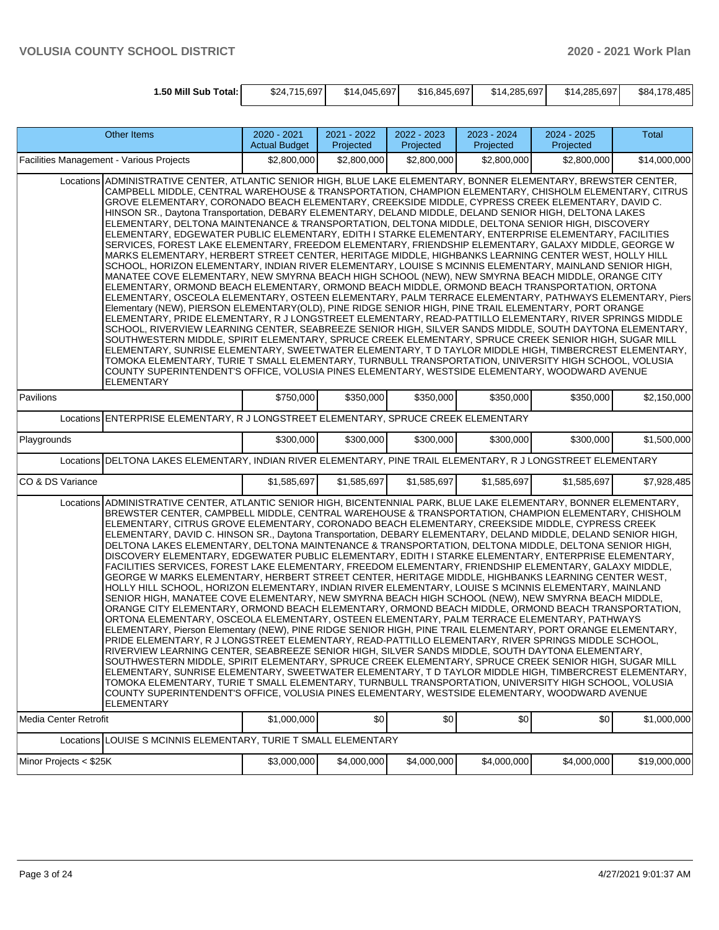| 1.50 Mill Sub Total: I | \$24.715.697 | \$14,045,697 | \$16,845,697 | \$14,285,697 | \$14,285,697 | \$84.178.485 |
|------------------------|--------------|--------------|--------------|--------------|--------------|--------------|

| <b>Other Items</b>                                                                                                                                                                                                                                                                                                                                                                                                                                                                                                                                                                                                                                                                                                                                                                                                                                                                                                                                                                                                                                                                                                                                                                                                                                                                                                                                                                                                                                                                                                                                                                                                                                                                                                                                                                                                                                                                                                                                                                                                                                                                   | 2020 - 2021<br><b>Actual Budget</b> | 2021 - 2022<br>Projected | $2022 - 2023$<br>Projected | 2023 - 2024<br>Projected | 2024 - 2025<br>Projected | Total        |  |  |
|--------------------------------------------------------------------------------------------------------------------------------------------------------------------------------------------------------------------------------------------------------------------------------------------------------------------------------------------------------------------------------------------------------------------------------------------------------------------------------------------------------------------------------------------------------------------------------------------------------------------------------------------------------------------------------------------------------------------------------------------------------------------------------------------------------------------------------------------------------------------------------------------------------------------------------------------------------------------------------------------------------------------------------------------------------------------------------------------------------------------------------------------------------------------------------------------------------------------------------------------------------------------------------------------------------------------------------------------------------------------------------------------------------------------------------------------------------------------------------------------------------------------------------------------------------------------------------------------------------------------------------------------------------------------------------------------------------------------------------------------------------------------------------------------------------------------------------------------------------------------------------------------------------------------------------------------------------------------------------------------------------------------------------------------------------------------------------------|-------------------------------------|--------------------------|----------------------------|--------------------------|--------------------------|--------------|--|--|
| Facilities Management - Various Projects                                                                                                                                                                                                                                                                                                                                                                                                                                                                                                                                                                                                                                                                                                                                                                                                                                                                                                                                                                                                                                                                                                                                                                                                                                                                                                                                                                                                                                                                                                                                                                                                                                                                                                                                                                                                                                                                                                                                                                                                                                             | \$2,800,000                         | \$2,800,000              | \$2,800,000                | \$2,800,000              | \$2,800,000              | \$14,000,000 |  |  |
| Locations ADMINISTRATIVE CENTER, ATLANTIC SENIOR HIGH, BLUE LAKE ELEMENTARY, BONNER ELEMENTARY, BREWSTER CENTER,<br>CAMPBELL MIDDLE, CENTRAL WAREHOUSE & TRANSPORTATION, CHAMPION ELEMENTARY, CHISHOLM ELEMENTARY, CITRUS<br>GROVE ELEMENTARY, CORONADO BEACH ELEMENTARY, CREEKSIDE MIDDLE, CYPRESS CREEK ELEMENTARY, DAVID C.<br>HINSON SR., Daytona Transportation, DEBARY ELEMENTARY, DELAND MIDDLE, DELAND SENIOR HIGH, DELTONA LAKES<br>ELEMENTARY, DELTONA MAINTENANCE & TRANSPORTATION, DELTONA MIDDLE, DELTONA SENIOR HIGH, DISCOVERY<br>ELEMENTARY, EDGEWATER PUBLIC ELEMENTARY, EDITH I STARKE ELEMENTARY, ENTERPRISE ELEMENTARY, FACILITIES<br>SERVICES, FOREST LAKE ELEMENTARY, FREEDOM ELEMENTARY, FRIENDSHIP ELEMENTARY, GALAXY MIDDLE, GEORGE W<br>MARKS ELEMENTARY, HERBERT STREET CENTER, HERITAGE MIDDLE, HIGHBANKS LEARNING CENTER WEST, HOLLY HILL<br>SCHOOL, HORIZON ELEMENTARY, INDIAN RIVER ELEMENTARY, LOUISE S MCINNIS ELEMENTARY, MAINLAND SENIOR HIGH,<br>MANATEE COVE ELEMENTARY, NEW SMYRNA BEACH HIGH SCHOOL (NEW), NEW SMYRNA BEACH MIDDLE, ORANGE CITY<br>ELEMENTARY, ORMOND BEACH ELEMENTARY, ORMOND BEACH MIDDLE, ORMOND BEACH TRANSPORTATION, ORTONA<br>ELEMENTARY, OSCEOLA ELEMENTARY, OSTEEN ELEMENTARY, PALM TERRACE ELEMENTARY, PATHWAYS ELEMENTARY, Piers<br>Elementary (NEW), PIERSON ELEMENTARY(OLD), PINE RIDGE SENIOR HIGH, PINE TRAIL ELEMENTARY, PORT ORANGE<br>ELEMENTARY, PRIDE ELEMENTARY, R J LONGSTREET ELEMENTARY, READ-PATTILLO ELEMENTARY, RIVER SPRINGS MIDDLE<br>SCHOOL, RIVERVIEW LEARNING CENTER, SEABREEZE SENIOR HIGH, SILVER SANDS MIDDLE, SOUTH DAYTONA ELEMENTARY,<br>SOUTHWESTERN MIDDLE, SPIRIT ELEMENTARY, SPRUCE CREEK ELEMENTARY, SPRUCE CREEK SENIOR HIGH, SUGAR MILL<br>ELEMENTARY, SUNRISE ELEMENTARY, SWEETWATER ELEMENTARY, T D TAYLOR MIDDLE HIGH, TIMBERCREST ELEMENTARY,<br>TOMOKA ELEMENTARY, TURIE T SMALL ELEMENTARY, TURNBULL TRANSPORTATION, UNIVERSITY HIGH SCHOOL, VOLUSIA<br>COUNTY SUPERINTENDENT'S OFFICE, VOLUSIA PINES ELEMENTARY, WESTSIDE ELEMENTARY, WOODWARD AVENUE<br><b>ELEMENTARY</b> |                                     |                          |                            |                          |                          |              |  |  |
| Pavilions                                                                                                                                                                                                                                                                                                                                                                                                                                                                                                                                                                                                                                                                                                                                                                                                                                                                                                                                                                                                                                                                                                                                                                                                                                                                                                                                                                                                                                                                                                                                                                                                                                                                                                                                                                                                                                                                                                                                                                                                                                                                            | \$750,000                           | \$350,000                | \$350,000                  | \$350,000                | \$350,000                | \$2,150,000  |  |  |
| Locations ENTERPRISE ELEMENTARY, R J LONGSTREET ELEMENTARY, SPRUCE CREEK ELEMENTARY                                                                                                                                                                                                                                                                                                                                                                                                                                                                                                                                                                                                                                                                                                                                                                                                                                                                                                                                                                                                                                                                                                                                                                                                                                                                                                                                                                                                                                                                                                                                                                                                                                                                                                                                                                                                                                                                                                                                                                                                  |                                     |                          |                            |                          |                          |              |  |  |
| Playgrounds                                                                                                                                                                                                                                                                                                                                                                                                                                                                                                                                                                                                                                                                                                                                                                                                                                                                                                                                                                                                                                                                                                                                                                                                                                                                                                                                                                                                                                                                                                                                                                                                                                                                                                                                                                                                                                                                                                                                                                                                                                                                          | \$300,000                           | \$300,000                | \$300,000                  | \$300,000                | \$300,000                | \$1,500,000  |  |  |
| Locations DELTONA LAKES ELEMENTARY, INDIAN RIVER ELEMENTARY, PINE TRAIL ELEMENTARY, R J LONGSTREET ELEMENTARY                                                                                                                                                                                                                                                                                                                                                                                                                                                                                                                                                                                                                                                                                                                                                                                                                                                                                                                                                                                                                                                                                                                                                                                                                                                                                                                                                                                                                                                                                                                                                                                                                                                                                                                                                                                                                                                                                                                                                                        |                                     |                          |                            |                          |                          |              |  |  |
| CO & DS Variance                                                                                                                                                                                                                                                                                                                                                                                                                                                                                                                                                                                                                                                                                                                                                                                                                                                                                                                                                                                                                                                                                                                                                                                                                                                                                                                                                                                                                                                                                                                                                                                                                                                                                                                                                                                                                                                                                                                                                                                                                                                                     | \$1,585,697                         | \$1,585,697              | \$1,585,697                | \$1,585,697              | \$1,585,697              | \$7,928,485  |  |  |
| Locations ADMINISTRATIVE CENTER, ATLANTIC SENIOR HIGH, BICENTENNIAL PARK, BLUE LAKE ELEMENTARY, BONNER ELEMENTARY,<br>BREWSTER CENTER, CAMPBELL MIDDLE, CENTRAL WAREHOUSE & TRANSPORTATION, CHAMPION ELEMENTARY, CHISHOLM<br>ELEMENTARY, CITRUS GROVE ELEMENTARY, CORONADO BEACH ELEMENTARY, CREEKSIDE MIDDLE, CYPRESS CREEK<br>ELEMENTARY, DAVID C. HINSON SR., Daytona Transportation, DEBARY ELEMENTARY, DELAND MIDDLE, DELAND SENIOR HIGH,<br>DELTONA LAKES ELEMENTARY, DELTONA MAINTENANCE & TRANSPORTATION, DELTONA MIDDLE, DELTONA SENIOR HIGH,<br>DISCOVERY ELEMENTARY, EDGEWATER PUBLIC ELEMENTARY, EDITH I STARKE ELEMENTARY, ENTERPRISE ELEMENTARY,<br>FACILITIES SERVICES, FOREST LAKE ELEMENTARY, FREEDOM ELEMENTARY, FRIENDSHIP ELEMENTARY, GALAXY MIDDLE,<br>GEORGE W MARKS ELEMENTARY, HERBERT STREET CENTER, HERITAGE MIDDLE, HIGHBANKS LEARNING CENTER WEST,<br>HOLLY HILL SCHOOL, HORIZON ELEMENTARY, INDIAN RIVER ELEMENTARY, LOUISE S MCINNIS ELEMENTARY, MAINLAND<br>SENIOR HIGH, MANATEE COVE ELEMENTARY, NEW SMYRNA BEACH HIGH SCHOOL (NEW), NEW SMYRNA BEACH MIDDLE,<br>ORANGE CITY ELEMENTARY, ORMOND BEACH ELEMENTARY, ORMOND BEACH MIDDLE, ORMOND BEACH TRANSPORTATION,<br>ORTONA ELEMENTARY, OSCEOLA ELEMENTARY, OSTEEN ELEMENTARY, PALM TERRACE ELEMENTARY, PATHWAYS<br>ELEMENTARY, Pierson Elementary (NEW), PINE RIDGE SENIOR HIGH, PINE TRAIL ELEMENTARY, PORT ORANGE ELEMENTARY,<br>PRIDE ELEMENTARY, R J LONGSTREET ELEMENTARY, READ-PATTILLO ELEMENTARY, RIVER SPRINGS MIDDLE SCHOOL,<br>RIVERVIEW LEARNING CENTER, SEABREEZE SENIOR HIGH, SILVER SANDS MIDDLE, SOUTH DAYTONA ELEMENTARY,<br>SOUTHWESTERN MIDDLE, SPIRIT ELEMENTARY, SPRUCE CREEK ELEMENTARY, SPRUCE CREEK SENIOR HIGH, SUGAR MILL<br>ELEMENTARY, SUNRISE ELEMENTARY, SWEETWATER ELEMENTARY, T D TAYLOR MIDDLE HIGH, TIMBERCREST ELEMENTARY,<br>TOMOKA ELEMENTARY, TURIE T SMALL ELEMENTARY, TURNBULL TRANSPORTATION, UNIVERSITY HIGH SCHOOL, VOLUSIA<br>COUNTY SUPERINTENDENT'S OFFICE, VOLUSIA PINES ELEMENTARY, WESTSIDE ELEMENTARY, WOODWARD AVENUE                          |                                     |                          |                            |                          |                          |              |  |  |
| <b>ELEMENTARY</b><br>Media Center Retrofit                                                                                                                                                                                                                                                                                                                                                                                                                                                                                                                                                                                                                                                                                                                                                                                                                                                                                                                                                                                                                                                                                                                                                                                                                                                                                                                                                                                                                                                                                                                                                                                                                                                                                                                                                                                                                                                                                                                                                                                                                                           | \$1,000,000                         | \$0                      | \$0                        | \$0                      | \$0                      | \$1,000,000  |  |  |
| LOUISE S MCINNIS ELEMENTARY, TURIE T SMALL ELEMENTARY<br>Locations                                                                                                                                                                                                                                                                                                                                                                                                                                                                                                                                                                                                                                                                                                                                                                                                                                                                                                                                                                                                                                                                                                                                                                                                                                                                                                                                                                                                                                                                                                                                                                                                                                                                                                                                                                                                                                                                                                                                                                                                                   |                                     |                          |                            |                          |                          |              |  |  |
| Minor Projects < \$25K                                                                                                                                                                                                                                                                                                                                                                                                                                                                                                                                                                                                                                                                                                                                                                                                                                                                                                                                                                                                                                                                                                                                                                                                                                                                                                                                                                                                                                                                                                                                                                                                                                                                                                                                                                                                                                                                                                                                                                                                                                                               | \$3,000,000                         | \$4,000,000              | \$4,000,000                | \$4,000,000              | \$4,000,000              | \$19,000,000 |  |  |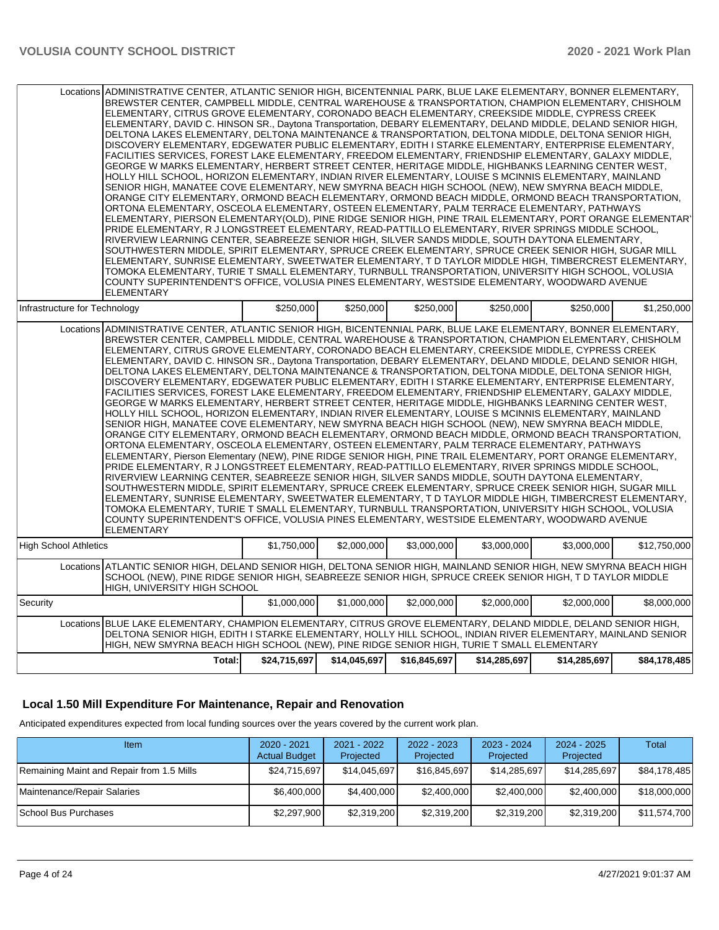| ELEMENTARY                                                                                                                                                                                                                                                                                                                                                                                                                                                                                                                                                                                                                                                                                                                                                                                                                                                                                                                                                                                                                                                                                                                                                                                                                                                                                                                                                                                                                                                                                                                                                                                                                                                                                                                                                                                                                                                                                                                                                                                                                                                                       | Locations ADMINISTRATIVE CENTER, ATLANTIC SENIOR HIGH, BICENTENNIAL PARK, BLUE LAKE ELEMENTARY, BONNER ELEMENTARY,<br>BREWSTER CENTER, CAMPBELL MIDDLE, CENTRAL WAREHOUSE & TRANSPORTATION, CHAMPION ELEMENTARY, CHISHOLM<br>ELEMENTARY, CITRUS GROVE ELEMENTARY, CORONADO BEACH ELEMENTARY, CREEKSIDE MIDDLE, CYPRESS CREEK<br>ELEMENTARY, DAVID C. HINSON SR., Daytona Transportation, DEBARY ELEMENTARY, DELAND MIDDLE, DELAND SENIOR HIGH,<br>DELTONA LAKES ELEMENTARY, DELTONA MAINTENANCE & TRANSPORTATION, DELTONA MIDDLE, DELTONA SENIOR HIGH,<br>DISCOVERY ELEMENTARY, EDGEWATER PUBLIC ELEMENTARY, EDITH I STARKE ELEMENTARY, ENTERPRISE ELEMENTARY,<br>FACILITIES SERVICES, FOREST LAKE ELEMENTARY, FREEDOM ELEMENTARY, FRIENDSHIP ELEMENTARY, GALAXY MIDDLE,<br>GEORGE W MARKS ELEMENTARY, HERBERT STREET CENTER, HERITAGE MIDDLE, HIGHBANKS LEARNING CENTER WEST,<br>HOLLY HILL SCHOOL, HORIZON ELEMENTARY, INDIAN RIVER ELEMENTARY, LOUISE S MCINNIS ELEMENTARY, MAINLAND<br>SENIOR HIGH, MANATEE COVE ELEMENTARY, NEW SMYRNA BEACH HIGH SCHOOL (NEW), NEW SMYRNA BEACH MIDDLE,<br>ORANGE CITY ELEMENTARY, ORMOND BEACH ELEMENTARY, ORMOND BEACH MIDDLE, ORMOND BEACH TRANSPORTATION,<br>ORTONA ELEMENTARY, OSCEOLA ELEMENTARY, OSTEEN ELEMENTARY, PALM TERRACE ELEMENTARY, PATHWAYS<br>ELEMENTARY, PIERSON ELEMENTARY(OLD), PINE RIDGE SENIOR HIGH, PINE TRAIL ELEMENTARY, PORT ORANGE ELEMENTAR'<br>PRIDE ELEMENTARY, R J LONGSTREET ELEMENTARY, READ-PATTILLO ELEMENTARY, RIVER SPRINGS MIDDLE SCHOOL,<br>RIVERVIEW LEARNING CENTER, SEABREEZE SENIOR HIGH, SILVER SANDS MIDDLE, SOUTH DAYTONA ELEMENTARY,<br>SOUTHWESTERN MIDDLE, SPIRIT ELEMENTARY, SPRUCE CREEK ELEMENTARY, SPRUCE CREEK SENIOR HIGH, SUGAR MILL<br>ELEMENTARY, SUNRISE ELEMENTARY, SWEETWATER ELEMENTARY, T D TAYLOR MIDDLE HIGH, TIMBERCREST ELEMENTARY,<br>TOMOKA ELEMENTARY, TURIE T SMALL ELEMENTARY, TURNBULL TRANSPORTATION, UNIVERSITY HIGH SCHOOL, VOLUSIA<br>COUNTY SUPERINTENDENT'S OFFICE, VOLUSIA PINES ELEMENTARY, WESTSIDE ELEMENTARY, WOODWARD AVENUE |              |              |              |              |              |  |  |  |  |
|----------------------------------------------------------------------------------------------------------------------------------------------------------------------------------------------------------------------------------------------------------------------------------------------------------------------------------------------------------------------------------------------------------------------------------------------------------------------------------------------------------------------------------------------------------------------------------------------------------------------------------------------------------------------------------------------------------------------------------------------------------------------------------------------------------------------------------------------------------------------------------------------------------------------------------------------------------------------------------------------------------------------------------------------------------------------------------------------------------------------------------------------------------------------------------------------------------------------------------------------------------------------------------------------------------------------------------------------------------------------------------------------------------------------------------------------------------------------------------------------------------------------------------------------------------------------------------------------------------------------------------------------------------------------------------------------------------------------------------------------------------------------------------------------------------------------------------------------------------------------------------------------------------------------------------------------------------------------------------------------------------------------------------------------------------------------------------|-----------------------------------------------------------------------------------------------------------------------------------------------------------------------------------------------------------------------------------------------------------------------------------------------------------------------------------------------------------------------------------------------------------------------------------------------------------------------------------------------------------------------------------------------------------------------------------------------------------------------------------------------------------------------------------------------------------------------------------------------------------------------------------------------------------------------------------------------------------------------------------------------------------------------------------------------------------------------------------------------------------------------------------------------------------------------------------------------------------------------------------------------------------------------------------------------------------------------------------------------------------------------------------------------------------------------------------------------------------------------------------------------------------------------------------------------------------------------------------------------------------------------------------------------------------------------------------------------------------------------------------------------------------------------------------------------------------------------------------------------------------------------------------------------------------------------------------------------------------------------------------------------------------------------------------------------------------------------------------------------------------------------------------------------------------|--------------|--------------|--------------|--------------|--------------|--|--|--|--|
| Infrastructure for Technology                                                                                                                                                                                                                                                                                                                                                                                                                                                                                                                                                                                                                                                                                                                                                                                                                                                                                                                                                                                                                                                                                                                                                                                                                                                                                                                                                                                                                                                                                                                                                                                                                                                                                                                                                                                                                                                                                                                                                                                                                                                    | \$250,000                                                                                                                                                                                                                                                                                                                                                                                                                                                                                                                                                                                                                                                                                                                                                                                                                                                                                                                                                                                                                                                                                                                                                                                                                                                                                                                                                                                                                                                                                                                                                                                                                                                                                                                                                                                                                                                                                                                                                                                                                                                 | \$250.000    | \$250,000    | \$250.000    | \$250.000    | \$1,250,000  |  |  |  |  |
| Locations ADMINISTRATIVE CENTER, ATLANTIC SENIOR HIGH, BICENTENNIAL PARK, BLUE LAKE ELEMENTARY, BONNER ELEMENTARY,<br>BREWSTER CENTER, CAMPBELL MIDDLE, CENTRAL WAREHOUSE & TRANSPORTATION, CHAMPION ELEMENTARY, CHISHOLM<br>ELEMENTARY, CITRUS GROVE ELEMENTARY, CORONADO BEACH ELEMENTARY, CREEKSIDE MIDDLE, CYPRESS CREEK<br>ELEMENTARY, DAVID C. HINSON SR., Daytona Transportation, DEBARY ELEMENTARY, DELAND MIDDLE, DELAND SENIOR HIGH,<br>DELTONA LAKES ELEMENTARY, DELTONA MAINTENANCE & TRANSPORTATION, DELTONA MIDDLE, DELTONA SENIOR HIGH,<br>DISCOVERY ELEMENTARY, EDGEWATER PUBLIC ELEMENTARY, EDITH I STARKE ELEMENTARY, ENTERPRISE ELEMENTARY,<br>FACILITIES SERVICES, FOREST LAKE ELEMENTARY, FREEDOM ELEMENTARY, FRIENDSHIP ELEMENTARY, GALAXY MIDDLE,<br>GEORGE W MARKS ELEMENTARY, HERBERT STREET CENTER, HERITAGE MIDDLE, HIGHBANKS LEARNING CENTER WEST,<br>HOLLY HILL SCHOOL, HORIZON ELEMENTARY, INDIAN RIVER ELEMENTARY, LOUISE S MCINNIS ELEMENTARY, MAINLAND<br>SENIOR HIGH, MANATEE COVE ELEMENTARY, NEW SMYRNA BEACH HIGH SCHOOL (NEW), NEW SMYRNA BEACH MIDDLE,<br>ORANGE CITY ELEMENTARY, ORMOND BEACH ELEMENTARY, ORMOND BEACH MIDDLE, ORMOND BEACH TRANSPORTATION,<br>ORTONA ELEMENTARY. OSCEOLA ELEMENTARY. OSTEEN ELEMENTARY. PALM TERRACE ELEMENTARY. PATHWAYS<br>ELEMENTARY, Pierson Elementary (NEW), PINE RIDGE SENIOR HIGH, PINE TRAIL ELEMENTARY, PORT ORANGE ELEMENTARY,<br>PRIDE ELEMENTARY, R J LONGSTREET ELEMENTARY, READ-PATTILLO ELEMENTARY, RIVER SPRINGS MIDDLE SCHOOL,<br>RIVERVIEW LEARNING CENTER, SEABREEZE SENIOR HIGH, SILVER SANDS MIDDLE, SOUTH DAYTONA ELEMENTARY,<br>SOUTHWESTERN MIDDLE, SPIRIT ELEMENTARY, SPRUCE CREEK ELEMENTARY, SPRUCE CREEK SENIOR HIGH, SUGAR MILL<br>ELEMENTARY, SUNRISE ELEMENTARY, SWEETWATER ELEMENTARY, T D TAYLOR MIDDLE HIGH, TIMBERCREST ELEMENTARY,<br>TOMOKA ELEMENTARY, TURIE T SMALL ELEMENTARY, TURNBULL TRANSPORTATION, UNIVERSITY HIGH SCHOOL, VOLUSIA<br>COUNTY SUPERINTENDENT'S OFFICE, VOLUSIA PINES ELEMENTARY, WESTSIDE ELEMENTARY, WOODWARD AVENUE<br><b>ELEMENTARY</b> |                                                                                                                                                                                                                                                                                                                                                                                                                                                                                                                                                                                                                                                                                                                                                                                                                                                                                                                                                                                                                                                                                                                                                                                                                                                                                                                                                                                                                                                                                                                                                                                                                                                                                                                                                                                                                                                                                                                                                                                                                                                           |              |              |              |              |              |  |  |  |  |
| <b>High School Athletics</b>                                                                                                                                                                                                                                                                                                                                                                                                                                                                                                                                                                                                                                                                                                                                                                                                                                                                                                                                                                                                                                                                                                                                                                                                                                                                                                                                                                                                                                                                                                                                                                                                                                                                                                                                                                                                                                                                                                                                                                                                                                                     | \$1,750,000                                                                                                                                                                                                                                                                                                                                                                                                                                                                                                                                                                                                                                                                                                                                                                                                                                                                                                                                                                                                                                                                                                                                                                                                                                                                                                                                                                                                                                                                                                                                                                                                                                                                                                                                                                                                                                                                                                                                                                                                                                               | \$2,000,000  | \$3,000,000  | \$3,000,000  | \$3,000,000  | \$12,750,000 |  |  |  |  |
| Locations ATLANTIC SENIOR HIGH, DELAND SENIOR HIGH, DELTONA SENIOR HIGH, MAINLAND SENIOR HIGH, NEW SMYRNA BEACH HIGH<br>SCHOOL (NEW), PINE RIDGE SENIOR HIGH, SEABREEZE SENIOR HIGH, SPRUCE CREEK SENIOR HIGH, T D TAYLOR MIDDLE<br>HIGH, UNIVERSITY HIGH SCHOOL                                                                                                                                                                                                                                                                                                                                                                                                                                                                                                                                                                                                                                                                                                                                                                                                                                                                                                                                                                                                                                                                                                                                                                                                                                                                                                                                                                                                                                                                                                                                                                                                                                                                                                                                                                                                                 |                                                                                                                                                                                                                                                                                                                                                                                                                                                                                                                                                                                                                                                                                                                                                                                                                                                                                                                                                                                                                                                                                                                                                                                                                                                                                                                                                                                                                                                                                                                                                                                                                                                                                                                                                                                                                                                                                                                                                                                                                                                           |              |              |              |              |              |  |  |  |  |
| Security                                                                                                                                                                                                                                                                                                                                                                                                                                                                                                                                                                                                                                                                                                                                                                                                                                                                                                                                                                                                                                                                                                                                                                                                                                                                                                                                                                                                                                                                                                                                                                                                                                                                                                                                                                                                                                                                                                                                                                                                                                                                         | \$1,000,000                                                                                                                                                                                                                                                                                                                                                                                                                                                                                                                                                                                                                                                                                                                                                                                                                                                                                                                                                                                                                                                                                                                                                                                                                                                                                                                                                                                                                                                                                                                                                                                                                                                                                                                                                                                                                                                                                                                                                                                                                                               | \$1.000.000  | \$2,000,000  | \$2,000,000  | \$2,000,000  | \$8,000,000  |  |  |  |  |
| BLUE LAKE ELEMENTARY, CHAMPION ELEMENTARY, CITRUS GROVE ELEMENTARY, DELAND MIDDLE, DELAND SENIOR HIGH,<br>Locations<br>DELTONA SENIOR HIGH, EDITH I STARKE ELEMENTARY, HOLLY HILL SCHOOL, INDIAN RIVER ELEMENTARY, MAINLAND SENIOR<br>HIGH, NEW SMYRNA BEACH HIGH SCHOOL (NEW), PINE RIDGE SENIOR HIGH, TURIE T SMALL ELEMENTARY                                                                                                                                                                                                                                                                                                                                                                                                                                                                                                                                                                                                                                                                                                                                                                                                                                                                                                                                                                                                                                                                                                                                                                                                                                                                                                                                                                                                                                                                                                                                                                                                                                                                                                                                                 |                                                                                                                                                                                                                                                                                                                                                                                                                                                                                                                                                                                                                                                                                                                                                                                                                                                                                                                                                                                                                                                                                                                                                                                                                                                                                                                                                                                                                                                                                                                                                                                                                                                                                                                                                                                                                                                                                                                                                                                                                                                           |              |              |              |              |              |  |  |  |  |
| Total:                                                                                                                                                                                                                                                                                                                                                                                                                                                                                                                                                                                                                                                                                                                                                                                                                                                                                                                                                                                                                                                                                                                                                                                                                                                                                                                                                                                                                                                                                                                                                                                                                                                                                                                                                                                                                                                                                                                                                                                                                                                                           | \$24,715,697                                                                                                                                                                                                                                                                                                                                                                                                                                                                                                                                                                                                                                                                                                                                                                                                                                                                                                                                                                                                                                                                                                                                                                                                                                                                                                                                                                                                                                                                                                                                                                                                                                                                                                                                                                                                                                                                                                                                                                                                                                              | \$14,045,697 | \$16,845,697 | \$14,285,697 | \$14,285,697 | \$84,178,485 |  |  |  |  |

## **Local 1.50 Mill Expenditure For Maintenance, Repair and Renovation**

Anticipated expenditures expected from local funding sources over the years covered by the current work plan.

| Item                                      | 2020 - 2021<br><b>Actual Budget</b> | 2021 - 2022<br>Projected | $2022 - 2023$<br>Projected | 2023 - 2024<br>Projected | 2024 - 2025<br>Projected | Total        |
|-------------------------------------------|-------------------------------------|--------------------------|----------------------------|--------------------------|--------------------------|--------------|
| Remaining Maint and Repair from 1.5 Mills | \$24,715,697                        | \$14,045,697             | \$16,845,697               | \$14,285,697             | \$14.285.697             | \$84,178,485 |
| Maintenance/Repair Salaries               | \$6,400,000                         | \$4,400,000              | \$2,400,000                | \$2,400,000              | \$2,400,000              | \$18,000,000 |
| School Bus Purchases                      | \$2,297,900                         | \$2,319,200              | \$2,319,200                | \$2,319,200              | \$2,319,200              | \$11,574,700 |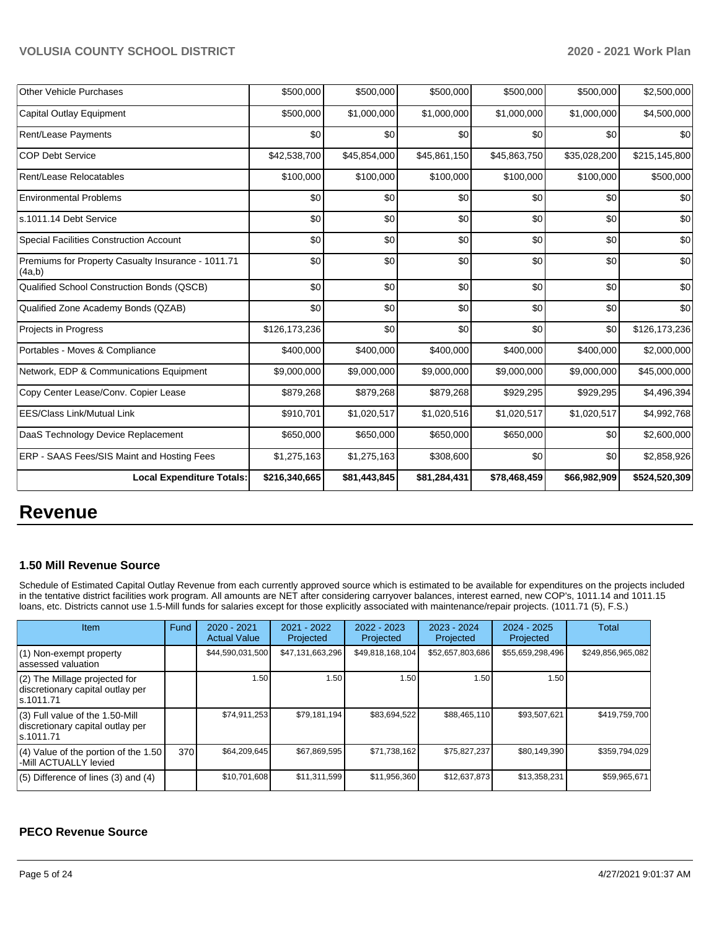| <b>Other Vehicle Purchases</b>                               | \$500,000     | \$500,000    | \$500,000    | \$500,000    | \$500,000    | \$2,500,000   |
|--------------------------------------------------------------|---------------|--------------|--------------|--------------|--------------|---------------|
| <b>Capital Outlay Equipment</b>                              | \$500,000     | \$1,000,000  | \$1,000,000  | \$1,000,000  | \$1,000,000  | \$4,500,000   |
| Rent/Lease Payments                                          | \$0           | \$0          | \$0          | \$0          | \$0          | \$0           |
| <b>COP Debt Service</b>                                      | \$42,538,700  | \$45,854,000 | \$45,861,150 | \$45,863,750 | \$35,028,200 | \$215,145,800 |
| Rent/Lease Relocatables                                      | \$100,000     | \$100,000    | \$100,000    | \$100,000    | \$100,000    | \$500,000     |
| <b>Environmental Problems</b>                                | \$0           | \$0          | \$0          | \$0          | \$0          | \$0           |
| s.1011.14 Debt Service                                       | \$0           | \$0          | \$0          | \$0          | \$0          | \$0           |
| <b>Special Facilities Construction Account</b>               | \$0           | \$0          | \$0          | \$0          | \$0          | \$0           |
| Premiums for Property Casualty Insurance - 1011.71<br>(4a,b) | \$0           | \$0          | \$0          | \$0          | \$0          | \$0           |
| Qualified School Construction Bonds (QSCB)                   | \$0           | \$0          | \$0          | \$0          | \$0          | \$0           |
| Qualified Zone Academy Bonds (QZAB)                          | \$0           | \$0          | \$0          | \$0          | \$0          | \$0           |
| Projects in Progress                                         | \$126,173,236 | \$0          | \$0          | \$0          | \$0          | \$126,173,236 |
| Portables - Moves & Compliance                               | \$400,000     | \$400,000    | \$400,000    | \$400,000    | \$400,000    | \$2,000,000   |
| Network, EDP & Communications Equipment                      | \$9,000,000   | \$9,000,000  | \$9,000,000  | \$9,000,000  | \$9,000,000  | \$45,000,000  |
| Copy Center Lease/Conv. Copier Lease                         | \$879,268     | \$879,268    | \$879,268    | \$929,295    | \$929,295    | \$4,496,394   |
| <b>EES/Class Link/Mutual Link</b>                            | \$910,701     | \$1,020,517  | \$1,020,516  | \$1,020,517  | \$1,020,517  | \$4,992,768   |
| DaaS Technology Device Replacement                           | \$650,000     | \$650,000    | \$650,000    | \$650,000    | \$0          | \$2,600,000   |
| <b>ERP - SAAS Fees/SIS Maint and Hosting Fees</b>            | \$1,275,163   | \$1,275,163  | \$308,600    | \$0          | \$0          | \$2,858,926   |
| <b>Local Expenditure Totals:</b>                             | \$216,340,665 | \$81,443,845 | \$81,284,431 | \$78,468,459 | \$66,982,909 | \$524,520,309 |

## **Revenue**

#### **1.50 Mill Revenue Source**

Schedule of Estimated Capital Outlay Revenue from each currently approved source which is estimated to be available for expenditures on the projects included in the tentative district facilities work program. All amounts are NET after considering carryover balances, interest earned, new COP's, 1011.14 and 1011.15 loans, etc. Districts cannot use 1.5-Mill funds for salaries except for those explicitly associated with maintenance/repair projects. (1011.71 (5), F.S.)

| Item                                                                                | Fund | $2020 - 2021$<br><b>Actual Value</b> | $2021 - 2022$<br>Projected | $2022 - 2023$<br>Projected | $2023 - 2024$<br>Projected | $2024 - 2025$<br>Projected | <b>Total</b>      |
|-------------------------------------------------------------------------------------|------|--------------------------------------|----------------------------|----------------------------|----------------------------|----------------------------|-------------------|
| $(1)$ Non-exempt property<br>lassessed valuation                                    |      | \$44,590,031,500                     | \$47,131,663,296           | \$49,818,168,104           | \$52,657,803,686           | \$55,659,298,496           | \$249,856,965,082 |
| $(2)$ The Millage projected for<br>discretionary capital outlay per<br>ls.1011.71   |      | 1.50                                 | 1.50                       | .50                        | l.50                       | 1.50                       |                   |
| $(3)$ Full value of the 1.50-Mill<br>discretionary capital outlay per<br>ls.1011.71 |      | \$74,911,253                         | \$79.181.194               | \$83,694,522               | \$88,465,110               | \$93.507.621               | \$419,759,700     |
| $(4)$ Value of the portion of the 1.50<br>-Mill ACTUALLY levied                     | 370  | \$64.209.645                         | \$67,869,595               | \$71,738,162               | \$75.827.237               | \$80,149,390               | \$359,794,029     |
| $(5)$ Difference of lines (3) and (4)                                               |      | \$10,701,608                         | \$11,311,599               | \$11,956,360               | \$12,637,873               | \$13,358,231               | \$59,965,671      |

## **PECO Revenue Source**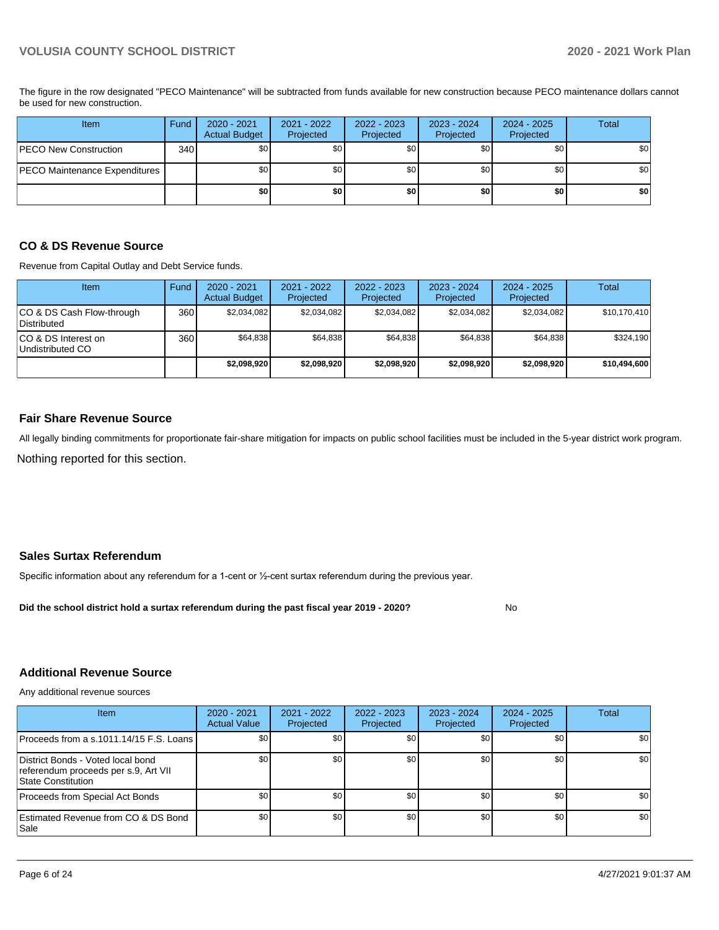The figure in the row designated "PECO Maintenance" will be subtracted from funds available for new construction because PECO maintenance dollars cannot be used for new construction.

| Item                          | Fund | 2020 - 2021<br><b>Actual Budget</b> | 2021 - 2022<br>Projected | 2022 - 2023<br>Projected | $2023 - 2024$<br>Projected | $2024 - 2025$<br>Projected | Total |
|-------------------------------|------|-------------------------------------|--------------------------|--------------------------|----------------------------|----------------------------|-------|
| <b>PECO New Construction</b>  | 340  | \$0                                 | \$0                      | \$0                      | \$0 <sub>1</sub>           | \$0                        | \$0   |
| PECO Maintenance Expenditures |      | \$0                                 | \$0                      | \$0                      | \$0 <sub>1</sub>           | \$0                        | \$0   |
|                               |      | \$0                                 | \$0                      | \$0                      | \$0                        | \$0                        | \$0   |

## **CO & DS Revenue Source**

Revenue from Capital Outlay and Debt Service funds.

| <b>Item</b>                               | Fund | $2020 - 2021$<br><b>Actual Budget</b> | $2021 - 2022$<br>Projected | 2022 - 2023<br>Projected | $2023 - 2024$<br>Projected | $2024 - 2025$<br>Projected | Total        |
|-------------------------------------------|------|---------------------------------------|----------------------------|--------------------------|----------------------------|----------------------------|--------------|
| ICO & DS Cash Flow-through<br>Distributed | 360  | \$2.034.082                           | \$2,034,082                | \$2.034.082              | \$2,034,082                | \$2,034,082                | \$10,170,410 |
| ICO & DS Interest on<br>Undistributed CO  | 360  | \$64,838                              | \$64,838                   | \$64,838                 | \$64,838                   | \$64,838                   | \$324,190    |
|                                           |      | \$2.098.920                           | \$2.098.920                | \$2,098,920              | \$2,098,920                | \$2.098.920                | \$10,494,600 |

#### **Fair Share Revenue Source**

Nothing reported for this section. All legally binding commitments for proportionate fair-share mitigation for impacts on public school facilities must be included in the 5-year district work program.

## **Sales Surtax Referendum**

Specific information about any referendum for a 1-cent or ½-cent surtax referendum during the previous year.

**Did the school district hold a surtax referendum during the past fiscal year 2019 - 2020?**

## **Additional Revenue Source**

Any additional revenue sources

| Item                                                                                                   | 2020 - 2021<br><b>Actual Value</b> | 2021 - 2022<br>Projected | 2022 - 2023<br>Projected | 2023 - 2024<br>Projected | 2024 - 2025<br>Projected | Total |
|--------------------------------------------------------------------------------------------------------|------------------------------------|--------------------------|--------------------------|--------------------------|--------------------------|-------|
| Proceeds from a s.1011.14/15 F.S. Loans I                                                              | \$0                                | \$0                      | \$0                      | \$0                      | \$0                      | \$0   |
| District Bonds - Voted local bond<br>referendum proceeds per s.9, Art VII<br><b>State Constitution</b> | \$0                                | \$0 <sub>1</sub>         | \$0                      | \$0                      | \$0                      | \$0   |
| Proceeds from Special Act Bonds                                                                        | \$0                                | \$0                      | \$0                      | \$0                      | \$0                      | \$0   |
| Estimated Revenue from CO & DS Bond<br>l Sale                                                          | \$0                                | \$0 <sub>1</sub>         | \$0                      | \$0                      | \$0                      | \$0   |

No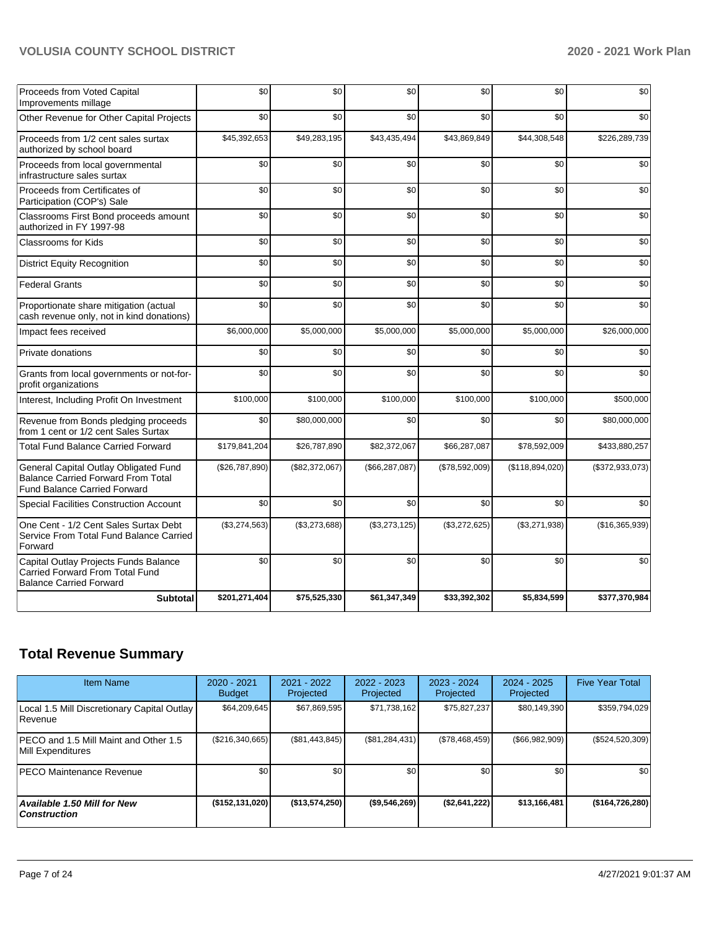| Proceeds from Voted Capital<br>Improvements millage                                                                       | \$0            | \$0            | \$0              | \$0            | \$0             | \$0             |
|---------------------------------------------------------------------------------------------------------------------------|----------------|----------------|------------------|----------------|-----------------|-----------------|
| Other Revenue for Other Capital Projects                                                                                  | \$0            | \$0            | \$0              | \$0            | \$0             | \$0             |
| Proceeds from 1/2 cent sales surtax<br>authorized by school board                                                         | \$45,392,653   | \$49,283,195   | \$43,435,494     | \$43,869,849   | \$44,308,548    | \$226,289,739   |
| Proceeds from local governmental<br>infrastructure sales surtax                                                           | \$0            | \$0            | \$0              | \$0            | \$0             | \$0             |
| Proceeds from Certificates of<br>Participation (COP's) Sale                                                               | \$0            | \$0            | \$0              | \$0            | \$0             | \$0             |
| Classrooms First Bond proceeds amount<br>authorized in FY 1997-98                                                         | \$0            | \$0            | \$0              | \$0            | \$0             | \$0             |
| Classrooms for Kids                                                                                                       | \$0            | \$0            | \$0              | \$0            | \$0             | \$0             |
| <b>District Equity Recognition</b>                                                                                        | \$0            | \$0            | \$0              | \$0            | \$0             | \$0             |
| <b>Federal Grants</b>                                                                                                     | \$0            | \$0            | \$0              | \$0            | \$0             | \$0             |
| Proportionate share mitigation (actual<br>cash revenue only, not in kind donations)                                       | \$0            | \$0            | \$0              | \$0            | \$0             | \$0             |
| Impact fees received                                                                                                      | \$6,000,000    | \$5,000,000    | \$5,000,000      | \$5,000,000    | \$5,000,000     | \$26,000,000    |
| Private donations                                                                                                         | \$0            | \$0            | \$0              | \$0            | \$0             | \$0             |
| Grants from local governments or not-for-<br>profit organizations                                                         | \$0            | \$0            | \$0              | \$0            | \$0             | \$0             |
| Interest, Including Profit On Investment                                                                                  | \$100,000      | \$100,000      | \$100,000        | \$100,000      | \$100,000       | \$500,000       |
| Revenue from Bonds pledging proceeds<br>from 1 cent or 1/2 cent Sales Surtax                                              | \$0            | \$80,000,000   | \$0              | \$0            | \$0             | \$80,000,000    |
| <b>Total Fund Balance Carried Forward</b>                                                                                 | \$179,841,204  | \$26,787,890   | \$82,372,067     | \$66,287,087   | \$78,592,009    | \$433,880,257   |
| General Capital Outlay Obligated Fund<br><b>Balance Carried Forward From Total</b><br><b>Fund Balance Carried Forward</b> | (\$26,787,890) | (\$82,372,067) | (\$66, 287, 087) | (\$78,592,009) | (\$118,894,020) | (\$372,933,073) |
| Special Facilities Construction Account                                                                                   | \$0            | \$0            | \$0              | \$0            | \$0             | \$0             |
| One Cent - 1/2 Cent Sales Surtax Debt<br>Service From Total Fund Balance Carried<br>Forward                               | (\$3,274,563)  | (\$3,273,688)  | (\$3,273,125)    | (\$3,272,625)  | (\$3,271,938)   | (\$16,365,939)  |
| Capital Outlay Projects Funds Balance<br>Carried Forward From Total Fund<br><b>Balance Carried Forward</b>                | \$0            | \$0            | \$0              | \$0            | \$0             | \$0             |
| <b>Subtotal</b>                                                                                                           | \$201,271,404  | \$75,525,330   | \$61,347,349     | \$33,392,302   | \$5,834,599     | \$377,370,984   |

## **Total Revenue Summary**

| <b>Item Name</b>                                           | 2020 - 2021<br><b>Budget</b> | $2021 - 2022$<br>Projected | 2022 - 2023<br>Projected | $2023 - 2024$<br>Projected | $2024 - 2025$<br>Projected | <b>Five Year Total</b> |
|------------------------------------------------------------|------------------------------|----------------------------|--------------------------|----------------------------|----------------------------|------------------------|
| Local 1.5 Mill Discretionary Capital Outlay<br>Revenue     | \$64,209,645                 | \$67,869,595               | \$71,738,162             | \$75,827,237               | \$80,149,390               | \$359,794,029          |
| PECO and 1.5 Mill Maint and Other 1.5<br>Mill Expenditures | (\$216,340,665)              | (S81, 443, 845)            | (\$81,284,431)           | (S78, 468, 459)            | $($ \$66,982,909)          | $(\$524,520,309)$      |
| <b>IPECO Maintenance Revenue</b>                           | \$0                          | \$0 <sub>1</sub>           | \$0                      | \$0                        | \$0                        | \$0                    |
| <b>Available 1.50 Mill for New</b><br>  Construction       | (\$152, 131, 020)            | (\$13,574,250)             | (\$9,546,269)            | (\$2,641,222)              | \$13,166,481               | ( \$164, 726, 280]     |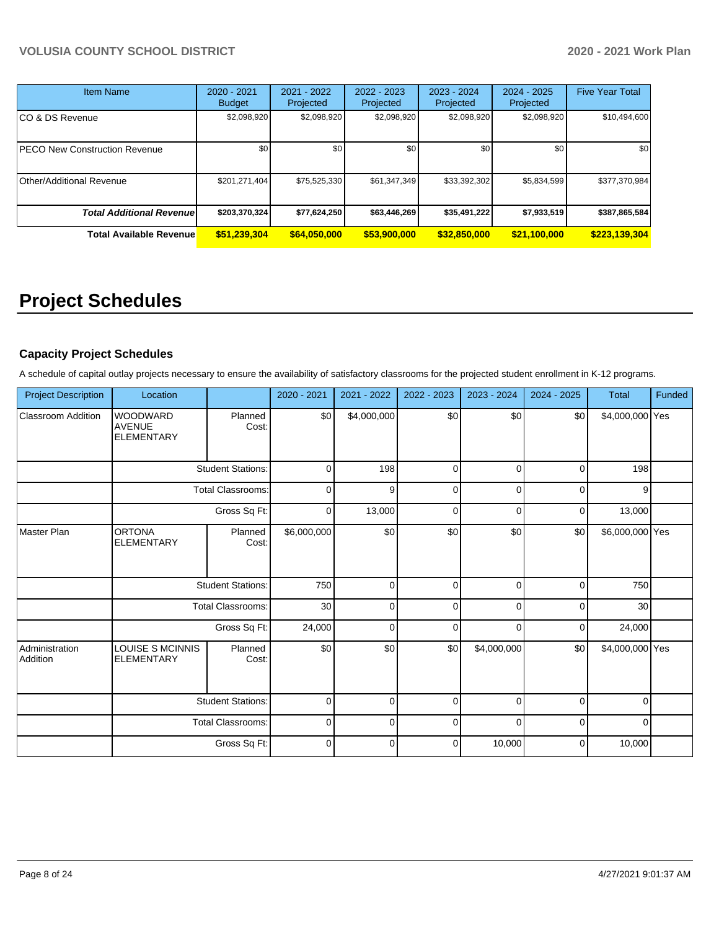| <b>Item Name</b>                 | 2020 - 2021<br><b>Budget</b> | 2021 - 2022<br>Projected | 2022 - 2023<br>Projected | 2023 - 2024<br>Projected | $2024 - 2025$<br>Projected | <b>Five Year Total</b> |
|----------------------------------|------------------------------|--------------------------|--------------------------|--------------------------|----------------------------|------------------------|
| CO & DS Revenue                  | \$2,098,920                  | \$2,098,920              | \$2,098,920              | \$2,098,920              | \$2,098,920                | \$10,494,600           |
| PECO New Construction Revenue    | \$0                          | \$0                      | \$0                      | \$0                      | \$0                        | \$0                    |
| Other/Additional Revenue         | \$201,271,404                | \$75,525,330             | \$61,347,349             | \$33,392,302             | \$5,834,599                | \$377,370,984          |
| <b>Total Additional Revenuel</b> | \$203,370,324                | \$77,624,250             | \$63,446,269             | \$35,491,222             | \$7,933,519                | \$387,865,584          |
| <b>Total Available Revenue</b>   | \$51,239,304                 | \$64,050,000             | \$53,900,000             | \$32,850,000             | \$21,100,000               | \$223,139,304          |

# **Project Schedules**

## **Capacity Project Schedules**

A schedule of capital outlay projects necessary to ensure the availability of satisfactory classrooms for the projected student enrollment in K-12 programs.

| <b>Project Description</b> | Location                                              |                          | 2020 - 2021 | 2021 - 2022 | 2022 - 2023 | 2023 - 2024 | 2024 - 2025 | <b>Total</b>    | Funded |
|----------------------------|-------------------------------------------------------|--------------------------|-------------|-------------|-------------|-------------|-------------|-----------------|--------|
| <b>Classroom Addition</b>  | <b>WOODWARD</b><br><b>AVENUE</b><br><b>ELEMENTARY</b> | Planned<br>Cost:         | \$0         | \$4,000,000 | \$0         | \$0         | \$0         | \$4,000,000 Yes |        |
|                            |                                                       | <b>Student Stations:</b> | $\Omega$    | 198         | $\Omega$    | 0           | $\Omega$    | 198             |        |
|                            |                                                       | <b>Total Classrooms:</b> | $\Omega$    | 9           | $\Omega$    | $\Omega$    | $\Omega$    | 9               |        |
|                            |                                                       | Gross Sq Ft:             | 0           | 13,000      | $\Omega$    | $\Omega$    | $\Omega$    | 13,000          |        |
| Master Plan                | <b>ORTONA</b><br><b>ELEMENTARY</b>                    | Planned<br>Cost:         | \$6,000,000 | \$0         | \$0         | \$0         | \$0         | \$6,000,000 Yes |        |
|                            |                                                       | <b>Student Stations:</b> | 750         | $\Omega$    | 0           | $\Omega$    | $\Omega$    | 750             |        |
|                            |                                                       | <b>Total Classrooms:</b> | 30          | $\Omega$    | $\Omega$    | $\Omega$    | $\Omega$    | 30              |        |
|                            |                                                       | Gross Sq Ft:             | 24,000      | $\Omega$    | $\Omega$    | $\Omega$    | $\Omega$    | 24,000          |        |
| Administration<br>Addition | LOUISE S MCINNIS<br><b>ELEMENTARY</b>                 | Planned<br>Cost:         | \$0         | \$0         | \$0         | \$4,000,000 | \$0         | \$4,000,000 Yes |        |
|                            |                                                       | <b>Student Stations:</b> | 0           | $\Omega$    | 0           | $\Omega$    | $\Omega$    | $\Omega$        |        |
|                            |                                                       | Total Classrooms:        | 0           | $\Omega$    | $\Omega$    | $\Omega$    | $\Omega$    | $\Omega$        |        |
|                            |                                                       | Gross Sq Ft:             | $\Omega$    | O           | $\Omega$    | 10,000      | $\Omega$    | 10,000          |        |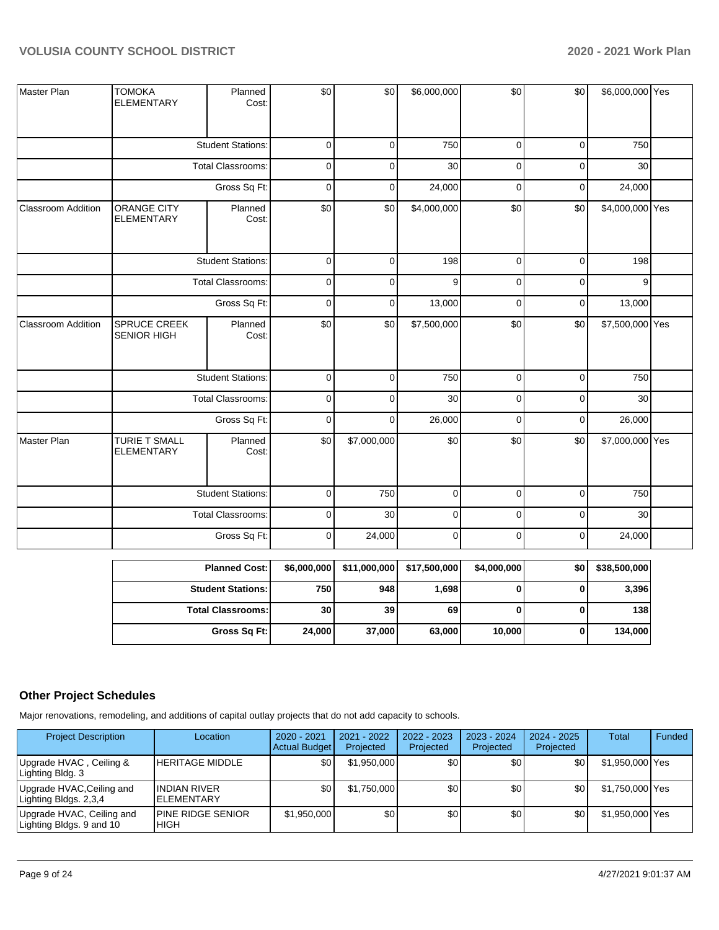| Master Plan               | <b>TOMOKA</b><br><b>ELEMENTARY</b>        | Planned<br>Cost:         | \$0         | \$0         | \$6,000,000 | \$0         | \$0         | \$6,000,000 Yes |  |
|---------------------------|-------------------------------------------|--------------------------|-------------|-------------|-------------|-------------|-------------|-----------------|--|
|                           |                                           | <b>Student Stations:</b> | $\mathbf 0$ | $\mathbf 0$ | 750         | $\mathbf 0$ | $\mathbf 0$ | 750             |  |
|                           |                                           | <b>Total Classrooms:</b> | $\mathbf 0$ | 0           | 30          | $\mathbf 0$ | $\mathbf 0$ | 30              |  |
|                           |                                           | Gross Sq Ft:             | $\mathbf 0$ | 0           | 24,000      | $\mathbf 0$ | $\mathbf 0$ | 24,000          |  |
| Classroom Addition        | <b>ORANGE CITY</b><br><b>ELEMENTARY</b>   | Planned<br>Cost:         | \$0         | \$0         | \$4,000,000 | \$0         | \$0         | \$4,000,000 Yes |  |
|                           |                                           | <b>Student Stations:</b> | $\pmb{0}$   | $\mathbf 0$ | 198         | $\mathbf 0$ | $\pmb{0}$   | 198             |  |
|                           |                                           | <b>Total Classrooms:</b> | 0           | 0           | 9           | $\mathbf 0$ | 0           | 9               |  |
|                           | Gross Sq Ft:                              |                          | $\mathbf 0$ | 0           | 13,000      | $\mathbf 0$ | $\mathbf 0$ | 13,000          |  |
| <b>Classroom Addition</b> | SPRUCE CREEK<br><b>SENIOR HIGH</b>        | Planned<br>Cost:         | \$0         | \$0         | \$7,500,000 | \$0         | \$0         | \$7,500,000 Yes |  |
|                           |                                           | <b>Student Stations:</b> | $\mathbf 0$ | $\mathbf 0$ | 750         | $\mathbf 0$ | $\mathbf 0$ | 750             |  |
|                           |                                           | <b>Total Classrooms:</b> | $\mathbf 0$ | 0           | 30          | $\mathbf 0$ | $\mathbf 0$ | 30              |  |
|                           |                                           | Gross Sq Ft:             | 0           | $\mathbf 0$ | 26,000      | $\mathbf 0$ | $\mathbf 0$ | 26,000          |  |
| Master Plan               | <b>TURIE T SMALL</b><br><b>ELEMENTARY</b> | Planned<br>Cost:         | \$0         | \$7,000,000 | \$0         | \$0         | \$0         | \$7,000,000 Yes |  |
|                           |                                           | <b>Student Stations:</b> | 0           | 750         | 0           | $\mathbf 0$ | $\mathbf 0$ | 750             |  |
|                           |                                           | Total Classrooms:        | $\pmb{0}$   | 30          | $\pmb{0}$   | $\mathbf 0$ | $\mathbf 0$ | 30              |  |
|                           |                                           | Gross Sq Ft:             | 0           | 24,000      | $\mathbf 0$ | $\mathbf 0$ | $\mathbf 0$ | 24,000          |  |

| <b>Planned Cost:</b>     | \$6,000,000 | \$11,000,000 | \$17,500,000 | \$4,000,000 | \$0 | \$38,500,000 |
|--------------------------|-------------|--------------|--------------|-------------|-----|--------------|
| <b>Student Stations:</b> | 750 l       | 948          | 1,698        | 0           |     | 3,396        |
| <b>Total Classrooms:</b> | 30          | 39           | 69           | 0           | U   | 138          |
| Gross Sq Ft:             | 24,000      | 37,000       | 63,000       | 10.000      |     | 134,000      |
|                          |             |              |              |             |     |              |

## **Other Project Schedules**

Major renovations, remodeling, and additions of capital outlay projects that do not add capacity to schools.

| <b>Project Description</b>                            | Location                                  | 2020 - 2021<br><b>Actual Budget</b> | $2021 - 2022$<br>Projected | 2022 - 2023<br>Projected | $2023 - 2024$<br>Projected | $2024 - 2025$<br>Projected | Total           | Funded |
|-------------------------------------------------------|-------------------------------------------|-------------------------------------|----------------------------|--------------------------|----------------------------|----------------------------|-----------------|--------|
| Upgrade HVAC, Ceiling &<br>Lighting Bldg. 3           | <b>HERITAGE MIDDLE</b>                    | \$0                                 | \$1.950.000                | \$0                      | \$0                        | \$0                        | \$1,950,000 Yes |        |
| Upgrade HVAC,Ceiling and<br>Lighting Bldgs. 2,3,4     | <b>INDIAN RIVER</b><br><b>IELEMENTARY</b> | \$0                                 | \$1.750.000                | \$0                      | \$0                        | \$0                        | \$1,750,000 Yes |        |
| Upgrade HVAC, Ceiling and<br>Lighting Bldgs. 9 and 10 | <b>IPINE RIDGE SENIOR</b><br><b>IHIGH</b> | \$1,950,000                         | \$0                        | \$0                      | \$0                        | \$0                        | \$1,950,000 Yes |        |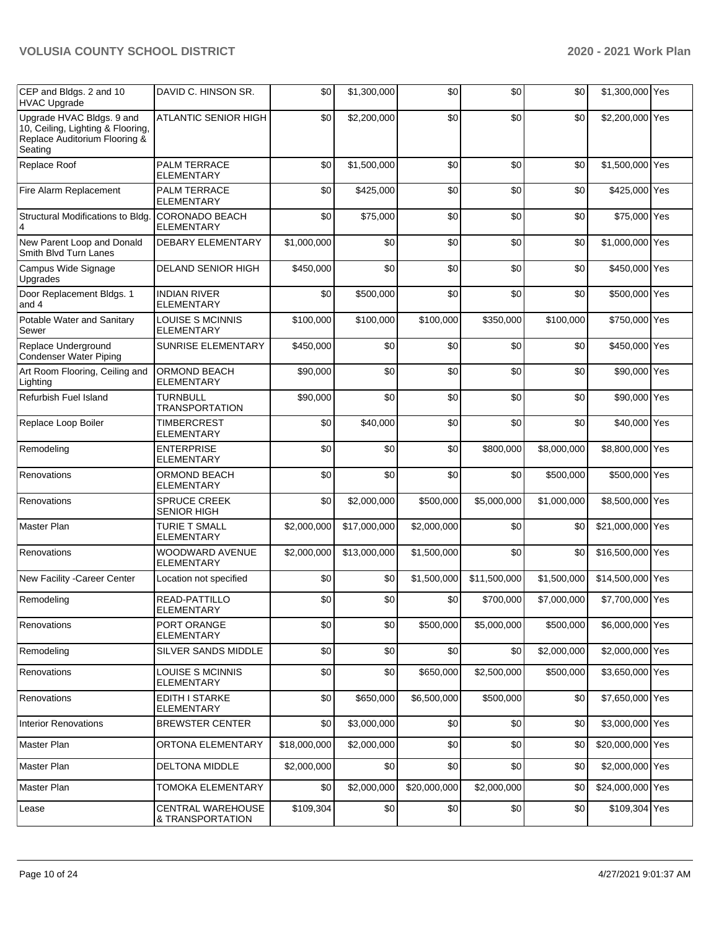| CEP and Bldgs. 2 and 10<br><b>HVAC Upgrade</b>                                                             | DAVID C. HINSON SR.                          | \$0          | \$1,300,000  | \$0          | \$0          | \$0         | \$1,300,000 Yes  |  |
|------------------------------------------------------------------------------------------------------------|----------------------------------------------|--------------|--------------|--------------|--------------|-------------|------------------|--|
| Upgrade HVAC Bldgs. 9 and<br>10, Ceiling, Lighting & Flooring,<br>Replace Auditorium Flooring &<br>Seating | <b>ATLANTIC SENIOR HIGH</b>                  | \$0          | \$2,200,000  | \$0          | \$0          | \$0         | \$2,200,000 Yes  |  |
| Replace Roof                                                                                               | PALM TERRACE<br>ELEMENTARY                   | \$0          | \$1,500,000  | \$0          | \$0          | \$0         | \$1,500,000 Yes  |  |
| Fire Alarm Replacement                                                                                     | PALM TERRACE<br><b>ELEMENTARY</b>            | \$0          | \$425,000    | \$0          | \$0          | \$0         | \$425,000 Yes    |  |
| Structural Modifications to Bldg.<br>4                                                                     | <b>CORONADO BEACH</b><br><b>ELEMENTARY</b>   | \$0          | \$75,000     | \$0          | \$0          | \$0         | \$75,000 Yes     |  |
| New Parent Loop and Donald<br>Smith Blvd Turn Lanes                                                        | DEBARY ELEMENTARY                            | \$1,000,000  | \$0          | \$0          | \$0          | \$0         | \$1,000,000 Yes  |  |
| Campus Wide Signage<br>Upgrades                                                                            | <b>DELAND SENIOR HIGH</b>                    | \$450,000    | \$0          | \$0          | \$0          | \$0         | \$450,000 Yes    |  |
| Door Replacement Bldgs. 1<br>and 4                                                                         | <b>INDIAN RIVER</b><br><b>ELEMENTARY</b>     | \$0          | \$500,000    | \$0          | \$0          | \$0         | \$500,000 Yes    |  |
| Potable Water and Sanitary<br>Sewer                                                                        | <b>LOUISE S MCINNIS</b><br><b>ELEMENTARY</b> | \$100,000    | \$100,000    | \$100,000    | \$350,000    | \$100,000   | \$750,000 Yes    |  |
| Replace Underground<br><b>Condenser Water Piping</b>                                                       | SUNRISE ELEMENTARY                           | \$450,000    | \$0          | \$0          | \$0          | \$0         | \$450,000 Yes    |  |
| Art Room Flooring, Ceiling and<br>Lighting                                                                 | ORMOND BEACH<br><b>ELEMENTARY</b>            | \$90,000     | \$0          | \$0          | \$0          | \$0         | \$90,000 Yes     |  |
| Refurbish Fuel Island                                                                                      | <b>TURNBULL</b><br><b>TRANSPORTATION</b>     | \$90,000     | \$0          | \$0          | \$0          | \$0         | \$90,000 Yes     |  |
| Replace Loop Boiler                                                                                        | <b>TIMBERCREST</b><br>ELEMENTARY             | \$0          | \$40,000     | \$0          | \$0          | \$0         | \$40,000 Yes     |  |
| Remodeling                                                                                                 | <b>ENTERPRISE</b><br><b>ELEMENTARY</b>       | \$0          | \$0          | \$0          | \$800,000    | \$8,000,000 | \$8,800,000 Yes  |  |
| Renovations                                                                                                | <b>ORMOND BEACH</b><br><b>ELEMENTARY</b>     | \$0          | \$0          | \$0          | \$0          | \$500,000   | \$500,000 Yes    |  |
| Renovations                                                                                                | SPRUCE CREEK<br><b>SENIOR HIGH</b>           | \$0          | \$2,000,000  | \$500,000    | \$5,000,000  | \$1,000,000 | \$8,500,000 Yes  |  |
| Master Plan                                                                                                | <b>TURIE T SMALL</b><br><b>ELEMENTARY</b>    | \$2,000,000  | \$17,000,000 | \$2,000,000  | \$0          | \$0         | \$21,000,000 Yes |  |
| Renovations                                                                                                | WOODWARD AVENUE<br><b>ELEMENTARY</b>         | \$2,000,000  | \$13,000,000 | \$1,500,000  | \$0          | \$0         | \$16,500,000 Yes |  |
| New Facility - Career Center                                                                               | Location not specified                       | \$0          | \$0          | \$1,500,000  | \$11,500,000 | \$1,500,000 | \$14,500,000 Yes |  |
| Remodeling                                                                                                 | READ-PATTILLO<br>ELEMENTARY                  | \$0          | \$0          | \$0          | \$700,000    | \$7,000,000 | \$7,700,000 Yes  |  |
| Renovations                                                                                                | PORT ORANGE<br><b>ELEMENTARY</b>             | \$0          | \$0          | \$500.000    | \$5,000,000  | \$500,000   | \$6,000,000 Yes  |  |
| Remodeling                                                                                                 | SILVER SANDS MIDDLE                          | \$0          | \$0          | \$0          | \$0          | \$2,000,000 | \$2,000,000 Yes  |  |
| Renovations                                                                                                | LOUISE S MCINNIS<br>ELEMENTARY               | \$0          | \$0          | \$650,000    | \$2,500,000  | \$500,000   | \$3,650,000 Yes  |  |
| Renovations                                                                                                | EDITH I STARKE<br>ELEMENTARY                 | \$0          | \$650,000    | \$6,500,000  | \$500,000    | \$0         | \$7,650,000 Yes  |  |
| <b>Interior Renovations</b>                                                                                | <b>BREWSTER CENTER</b>                       | \$0          | \$3,000,000  | \$0          | \$0          | \$0         | \$3,000,000 Yes  |  |
| <b>Master Plan</b>                                                                                         | ORTONA ELEMENTARY                            | \$18,000,000 | \$2,000,000  | \$0          | \$0          | \$0         | \$20,000,000 Yes |  |
| Master Plan                                                                                                | <b>DELTONA MIDDLE</b>                        | \$2,000,000  | \$0          | \$0          | \$0          | \$0         | \$2,000,000 Yes  |  |
| Master Plan                                                                                                | TOMOKA ELEMENTARY                            | \$0          | \$2,000,000  | \$20,000,000 | \$2,000,000  | \$0         | \$24,000,000 Yes |  |
| Lease                                                                                                      | <b>CENTRAL WAREHOUSE</b><br>& TRANSPORTATION | \$109,304    | \$0          | \$0          | \$0          | \$0         | \$109,304 Yes    |  |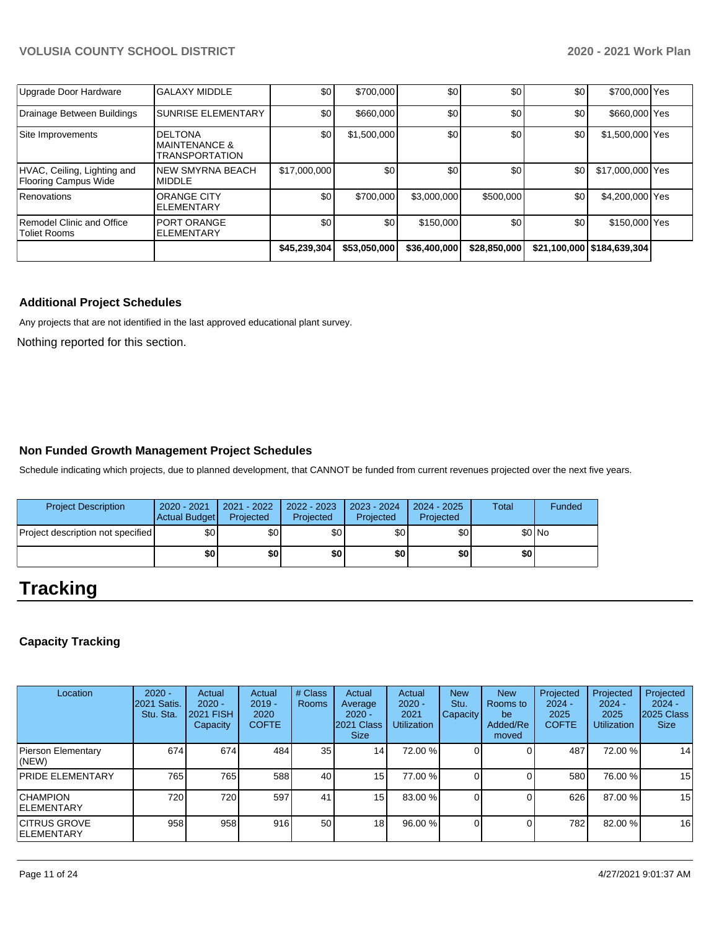|                                                     |                                                                      | \$45,239,304 | \$53,050,000 | \$36,400,000 | \$28,850,000 |     | \$21,100,000 \$184,639,304 |  |
|-----------------------------------------------------|----------------------------------------------------------------------|--------------|--------------|--------------|--------------|-----|----------------------------|--|
| Remodel Clinic and Office<br>Toliet Rooms           | <b>PORT ORANGE</b><br><b>ELEMENTARY</b>                              | \$0          | \$0          | \$150,000    | \$0          | \$0 | \$150,000 Yes              |  |
| Renovations                                         | <b>ORANGE CITY</b><br><b>ELEMENTARY</b>                              | \$0          | \$700,000    | \$3,000,000  | \$500,000    | \$0 | \$4,200,000 Yes            |  |
| HVAC, Ceiling, Lighting and<br>Flooring Campus Wide | <b>NEW SMYRNA BEACH</b><br><b>MIDDLE</b>                             | \$17,000,000 | \$0          | \$0          | \$0          | \$0 | \$17,000,000 Yes           |  |
| Site Improvements                                   | <b>DELTONA</b><br><b>IMAINTENANCE &amp;</b><br><b>TRANSPORTATION</b> | \$0          | \$1,500,000  | \$0          | \$0          | \$0 | \$1,500,000 Yes            |  |
| Drainage Between Buildings                          | <b>SUNRISE ELEMENTARY</b>                                            | \$0          | \$660,000    | \$0          | \$0          | \$0 | \$660,000 Yes              |  |
| Upgrade Door Hardware                               | <b>GALAXY MIDDLE</b>                                                 | \$0          | \$700,000    | \$0          | \$0          | \$0 | \$700,000 Yes              |  |

## **Additional Project Schedules**

Any projects that are not identified in the last approved educational plant survey.

Nothing reported for this section.

#### **Non Funded Growth Management Project Schedules**

Schedule indicating which projects, due to planned development, that CANNOT be funded from current revenues projected over the next five years.

| <b>Project Description</b>        | $2020 - 2021$<br>Actual Budget | $2021 - 2022$<br>Projected | 2022 - 2023<br>Projected | 2023 - 2024<br>Projected | $2024 - 2025$<br>Projected | <b>Total</b> | Funded  |
|-----------------------------------|--------------------------------|----------------------------|--------------------------|--------------------------|----------------------------|--------------|---------|
| Project description not specified | \$0 <sub>1</sub>               | ا 30                       | \$0                      | \$0                      | \$0                        |              | $$0$ No |
|                                   | \$0                            | \$0                        | \$0                      | \$0                      | \$0                        | \$0          |         |

# **Tracking**

## **Capacity Tracking**

| Location                            | $2020 -$<br><b>2021 Satis.</b><br>Stu. Sta. | Actual<br>$2020 -$<br>2021 FISH<br>Capacity | Actual<br>$2019 -$<br>2020<br><b>COFTE</b> | # Class<br>Rooms | Actual<br>Average<br>$2020 -$<br>2021 Class<br><b>Size</b> | Actual<br>$2020 -$<br>2021<br><b>Utilization</b> | <b>New</b><br>Stu.<br><b>Capacity</b> | <b>New</b><br>Rooms to<br>be<br>Added/Re<br>moved | Projected<br>$2024 -$<br>2025<br><b>COFTE</b> | Projected<br>$2024 -$<br>2025<br><b>Utilization</b> | Projected<br>$2024 -$<br>2025 Class<br><b>Size</b> |
|-------------------------------------|---------------------------------------------|---------------------------------------------|--------------------------------------------|------------------|------------------------------------------------------------|--------------------------------------------------|---------------------------------------|---------------------------------------------------|-----------------------------------------------|-----------------------------------------------------|----------------------------------------------------|
| Pierson Elementary<br>(NEW)         | 674                                         | 674                                         | 484                                        | 35               | 14 <sub>1</sub>                                            | 72.00 %                                          |                                       |                                                   | 487                                           | 72.00 %                                             | 14                                                 |
| <b>PRIDE ELEMENTARY</b>             | 765                                         | 765                                         | 588                                        | 40               | 15                                                         | 77.00 %                                          |                                       |                                                   | 580                                           | 76.00 %                                             | 15                                                 |
| <b>CHAMPION</b><br>ELEMENTARY       | 720                                         | 720                                         | 597                                        | 41               | 15 <sub>l</sub>                                            | 83.00 %                                          |                                       |                                                   | 626                                           | 87.00 %                                             | 15                                                 |
| ICITRUS GROVE<br><b>IELEMENTARY</b> | 958                                         | 958                                         | 916                                        | 50               | 18 <sup>l</sup>                                            | 96.00 %                                          |                                       |                                                   | 782I                                          | 82.00 %                                             | 16                                                 |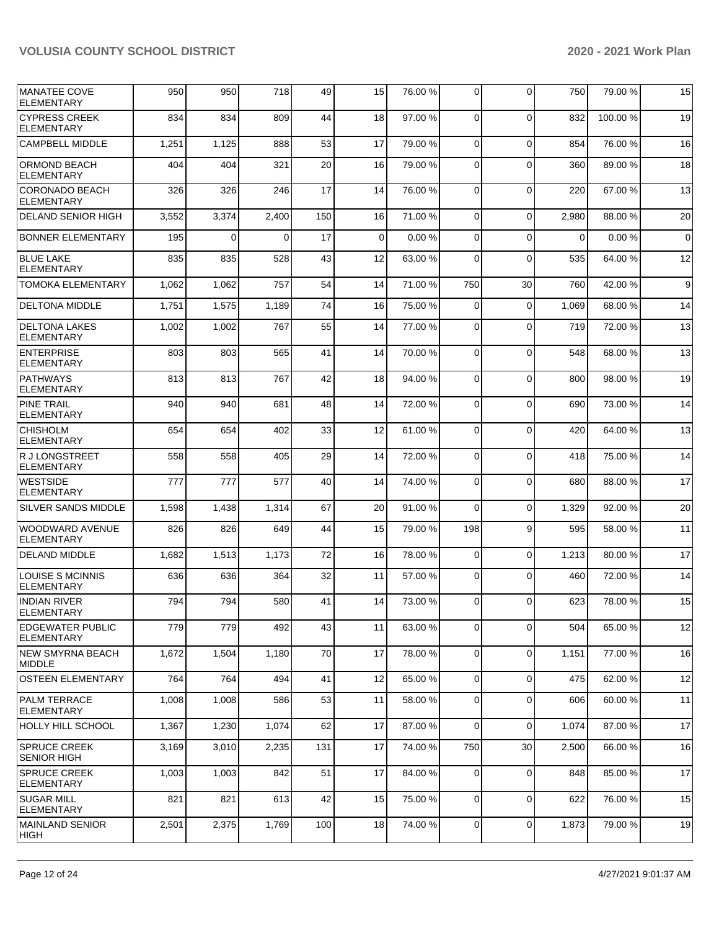| <b>MANATEE COVE</b><br><b>ELEMENTARY</b>     | 950   | 950            | 718      | 49  | 15 | 76.00 % | $\Omega$    | $\Omega$    | 750      | 79.00 % | 15             |
|----------------------------------------------|-------|----------------|----------|-----|----|---------|-------------|-------------|----------|---------|----------------|
| <b>CYPRESS CREEK</b><br><b>ELEMENTARY</b>    | 834   | 834            | 809      | 44  | 18 | 97.00 % | $\Omega$    | $\Omega$    | 832      | 100.00% | 19             |
| <b>CAMPBELL MIDDLE</b>                       | 1,251 | 1,125          | 888      | 53  | 17 | 79.00 % | $\Omega$    | $\Omega$    | 854      | 76.00 % | 16             |
| <b>ORMOND BEACH</b><br><b>ELEMENTARY</b>     | 404   | 404            | 321      | 20  | 16 | 79.00 % | $\Omega$    | $\Omega$    | 360      | 89.00 % | 18             |
| CORONADO BEACH<br><b>ELEMENTARY</b>          | 326   | 326            | 246      | 17  | 14 | 76.00 % | $\Omega$    | $\Omega$    | 220      | 67.00 % | 13             |
| <b>DELAND SENIOR HIGH</b>                    | 3,552 | 3,374          | 2,400    | 150 | 16 | 71.00 % | $\Omega$    | 0           | 2,980    | 88.00 % | 20             |
| <b>BONNER ELEMENTARY</b>                     | 195   | $\overline{0}$ | $\Omega$ | 17  | 0  | 0.00%   | $\mathbf 0$ | $\Omega$    | $\Omega$ | 0.00%   | $\overline{0}$ |
| <b>BLUE LAKE</b><br><b>ELEMENTARY</b>        | 835   | 835            | 528      | 43  | 12 | 63.00 % | 0           | $\Omega$    | 535      | 64.00 % | 12             |
| <b>TOMOKA ELEMENTARY</b>                     | 1,062 | 1,062          | 757      | 54  | 14 | 71.00 % | 750         | 30          | 760      | 42.00 % | 9              |
| <b>DELTONA MIDDLE</b>                        | 1,751 | 1,575          | 1,189    | 74  | 16 | 75.00 % | 0           | $\Omega$    | 1,069    | 68.00 % | 14             |
| <b>DELTONA LAKES</b><br><b>ELEMENTARY</b>    | 1,002 | 1,002          | 767      | 55  | 14 | 77.00 % | $\Omega$    | $\Omega$    | 719      | 72.00 % | 13             |
| <b>ENTERPRISE</b><br><b>ELEMENTARY</b>       | 803   | 803            | 565      | 41  | 14 | 70.00%  | $\Omega$    | $\Omega$    | 548      | 68.00 % | 13             |
| <b>PATHWAYS</b><br><b>ELEMENTARY</b>         | 813   | 813            | 767      | 42  | 18 | 94.00 % | $\Omega$    | $\Omega$    | 800      | 98.00 % | 19             |
| <b>PINE TRAIL</b><br><b>ELEMENTARY</b>       | 940   | 940            | 681      | 48  | 14 | 72.00 % | $\Omega$    | $\Omega$    | 690      | 73.00 % | 14             |
| <b>CHISHOLM</b><br><b>ELEMENTARY</b>         | 654   | 654            | 402      | 33  | 12 | 61.00%  | $\Omega$    | $\Omega$    | 420      | 64.00%  | 13             |
| R J LONGSTREET<br><b>ELEMENTARY</b>          | 558   | 558            | 405      | 29  | 14 | 72.00 % | $\mathbf 0$ | $\Omega$    | 418      | 75.00 % | 14             |
| <b>WESTSIDE</b><br><b>ELEMENTARY</b>         | 777   | 777            | 577      | 40  | 14 | 74.00 % | $\Omega$    | $\Omega$    | 680      | 88.00 % | 17             |
| <b>SILVER SANDS MIDDLE</b>                   | 1,598 | 1,438          | 1,314    | 67  | 20 | 91.00%  | $\Omega$    | $\mathbf 0$ | 1,329    | 92.00 % | 20             |
| WOODWARD AVENUE<br><b>ELEMENTARY</b>         | 826   | 826            | 649      | 44  | 15 | 79.00 % | 198         | 9           | 595      | 58.00 % | 11             |
| <b>DELAND MIDDLE</b>                         | 1,682 | 1,513          | 1,173    | 72  | 16 | 78.00 % | $\mathbf 0$ | 0           | 1,213    | 80.00 % | 17             |
| <b>LOUISE S MCINNIS</b><br><b>ELEMENTARY</b> | 636   | 636            | 364      | 32  | 11 | 57.00 % | $\mathbf 0$ | $\Omega$    | 460      | 72.00 % | 14             |
| <b>INDIAN RIVER</b><br><b>ELEMENTARY</b>     | 794   | 794            | 580      | 41  | 14 | 73.00 % | $\Omega$    | $\Omega$    | 623      | 78.00 % | 15             |
| <b>EDGEWATER PUBLIC</b><br>ELEMENTARY        | 779   | 779            | 492      | 43  | 11 | 63.00 % | $\Omega$    | $\Omega$    | 504      | 65.00 % | 12             |
| NEW SMYRNA BEACH<br><b>MIDDLE</b>            | 1,672 | 1,504          | 1,180    | 70  | 17 | 78.00 % | $\mathbf 0$ | 0           | 1,151    | 77.00 % | 16             |
| <b>OSTEEN ELEMENTARY</b>                     | 764   | 764            | 494      | 41  | 12 | 65.00 % | $\mathbf 0$ | $\mathbf 0$ | 475      | 62.00%  | 12             |
| PALM TERRACE<br><b>ELEMENTARY</b>            | 1,008 | 1,008          | 586      | 53  | 11 | 58.00 % | 0           | $\mathbf 0$ | 606      | 60.00 % | 11             |
| <b>HOLLY HILL SCHOOL</b>                     | 1,367 | 1,230          | 1,074    | 62  | 17 | 87.00 % | $\Omega$    | 0           | 1,074    | 87.00 % | 17             |
| <b>SPRUCE CREEK</b><br><b>SENIOR HIGH</b>    | 3,169 | 3,010          | 2,235    | 131 | 17 | 74.00 % | 750         | 30          | 2,500    | 66.00 % | 16             |
| <b>SPRUCE CREEK</b><br><b>ELEMENTARY</b>     | 1,003 | 1,003          | 842      | 51  | 17 | 84.00 % | $\mathbf 0$ | 0           | 848      | 85.00 % | 17             |
| <b>SUGAR MILL</b><br><b>ELEMENTARY</b>       | 821   | 821            | 613      | 42  | 15 | 75.00 % | 0           | $\mathbf 0$ | 622      | 76.00 % | 15             |
| MAINLAND SENIOR<br>HIGH                      | 2,501 | 2,375          | 1,769    | 100 | 18 | 74.00%  | 0           | 0           | 1,873    | 79.00 % | 19             |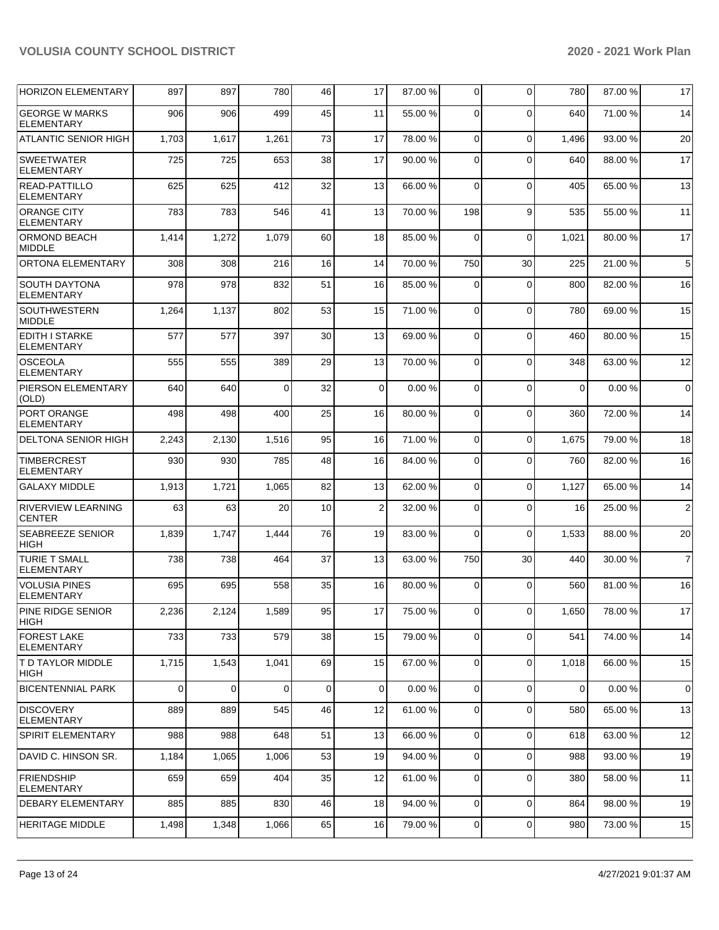| <b>HORIZON ELEMENTARY</b>                  | 897         | 897   | 780      | 46          | 17             | 87.00 % | 0              | $\Omega$    | 780         | 87.00 % | 17             |
|--------------------------------------------|-------------|-------|----------|-------------|----------------|---------|----------------|-------------|-------------|---------|----------------|
| <b>GEORGE W MARKS</b><br>ELEMENTARY        | 906         | 906   | 499      | 45          | 11             | 55.00 % | $\Omega$       | $\Omega$    | 640         | 71.00 % | 14             |
| ATLANTIC SENIOR HIGH                       | 1,703       | 1,617 | 1,261    | 73          | 17             | 78.00 % | 0              | $\Omega$    | 1,496       | 93.00 % | 20             |
| <b>SWEETWATER</b><br><b>ELEMENTARY</b>     | 725         | 725   | 653      | 38          | 17             | 90.00%  | $\Omega$       | $\Omega$    | 640         | 88.00 % | 17             |
| <b>READ-PATTILLO</b><br><b>ELEMENTARY</b>  | 625         | 625   | 412      | 32          | 13             | 66.00 % | 0              | $\Omega$    | 405         | 65.00 % | 13             |
| <b>ORANGE CITY</b><br>ELEMENTARY           | 783         | 783   | 546      | 41          | 13             | 70.00%  | 198            | 9           | 535         | 55.00 % | 11             |
| <b>ORMOND BEACH</b><br><b>MIDDLE</b>       | 1,414       | 1,272 | 1,079    | 60          | 18             | 85.00 % | $\Omega$       | $\Omega$    | 1,021       | 80.00 % | 17             |
| ORTONA ELEMENTARY                          | 308         | 308   | 216      | 16          | 14             | 70.00%  | 750            | 30          | 225         | 21.00 % | 5              |
| <b>SOUTH DAYTONA</b><br><b>ELEMENTARY</b>  | 978         | 978   | 832      | 51          | 16             | 85.00 % | 0              | $\Omega$    | 800         | 82.00 % | 16             |
| <b>SOUTHWESTERN</b><br><b>MIDDLE</b>       | 1,264       | 1,137 | 802      | 53          | 15             | 71.00%  | 0              | $\Omega$    | 780         | 69.00 % | 15             |
| <b>EDITH I STARKE</b><br><b>ELEMENTARY</b> | 577         | 577   | 397      | 30          | 13             | 69.00 % | $\Omega$       | $\Omega$    | 460         | 80.00 % | 15             |
| <b>OSCEOLA</b><br><b>ELEMENTARY</b>        | 555         | 555   | 389      | 29          | 13             | 70.00 % | 0              | $\Omega$    | 348         | 63.00 % | 12             |
| PIERSON ELEMENTARY<br>(OLD)                | 640         | 640   | $\Omega$ | 32          | 0              | 0.00%   | 0              | $\Omega$    | $\mathbf 0$ | 0.00%   | $\mathbf 0$    |
| PORT ORANGE<br><b>ELEMENTARY</b>           | 498         | 498   | 400      | 25          | 16             | 80.00 % | $\Omega$       | $\Omega$    | 360         | 72.00 % | 14             |
| <b>DELTONA SENIOR HIGH</b>                 | 2,243       | 2,130 | 1,516    | 95          | 16             | 71.00 % | 0              | $\Omega$    | 1,675       | 79.00 % | 18             |
| <b>TIMBERCREST</b><br><b>ELEMENTARY</b>    | 930         | 930   | 785      | 48          | 16             | 84.00%  | 0              | $\Omega$    | 760         | 82.00 % | 16             |
| <b>GALAXY MIDDLE</b>                       | 1,913       | 1,721 | 1,065    | 82          | 13             | 62.00%  | 0              | $\Omega$    | 1,127       | 65.00 % | 14             |
| <b>RIVERVIEW LEARNING</b><br><b>CENTER</b> | 63          | 63    | 20       | 10          | $\overline{2}$ | 32.00 % | 0              | $\Omega$    | 16          | 25.00 % | $\overline{2}$ |
| <b>SEABREEZE SENIOR</b><br><b>HIGH</b>     | 1,839       | 1,747 | 1,444    | 76          | 19             | 83.00 % | $\Omega$       | $\Omega$    | 1,533       | 88.00 % | 20             |
| <b>TURIE T SMALL</b><br><b>ELEMENTARY</b>  | 738         | 738   | 464      | 37          | 13             | 63.00 % | 750            | 30          | 440         | 30.00 % | $\overline{7}$ |
| <b>VOLUSIA PINES</b><br>ELEMENTARY         | 695         | 695   | 558      | 35          | 16             | 80.00 % | $\Omega$       | $\Omega$    | 560         | 81.00%  | 16             |
| PINE RIDGE SENIOR<br>HIGH                  | 2,236       | 2,124 | 1,589    | 95          | 17             | 75.00 % | 0              | 0           | 1,650       | 78.00 % | $17\,$         |
| <b>FOREST LAKE</b><br>ELEMENTARY           | 733         | 733   | 579      | 38          | 15             | 79.00 % | $\overline{0}$ | $\Omega$    | 541         | 74.00 % | 14             |
| <b>T D TAYLOR MIDDLE</b><br>HIGH           | 1,715       | 1,543 | 1,041    | 69          | 15             | 67.00 % | 0              | 0           | 1,018       | 66.00 % | 15             |
| <b>BICENTENNIAL PARK</b>                   | $\mathbf 0$ | 0     | 0        | $\mathbf 0$ | 0              | 0.00%   | 0              | $\mathbf 0$ | $\mathbf 0$ | 0.00%   | $\mathbf 0$    |
| <b>DISCOVERY</b><br><b>ELEMENTARY</b>      | 889         | 889   | 545      | 46          | 12             | 61.00%  | 0              | $\Omega$    | 580         | 65.00 % | 13             |
| SPIRIT ELEMENTARY                          | 988         | 988   | 648      | 51          | 13             | 66.00 % | $\mathbf{0}$   | $\mathbf 0$ | 618         | 63.00 % | 12             |
| DAVID C. HINSON SR.                        | 1,184       | 1,065 | 1,006    | 53          | 19             | 94.00 % | $\overline{0}$ | $\Omega$    | 988         | 93.00 % | 19             |
| <b>FRIENDSHIP</b><br><b>ELEMENTARY</b>     | 659         | 659   | 404      | 35          | 12             | 61.00 % | $\overline{0}$ | $\Omega$    | 380         | 58.00 % | 11             |
| DEBARY ELEMENTARY                          | 885         | 885   | 830      | 46          | 18             | 94.00 % | $\overline{0}$ | 0           | 864         | 98.00 % | 19             |
| <b>HERITAGE MIDDLE</b>                     | 1,498       | 1,348 | 1,066    | 65          | 16             | 79.00 % | $\overline{0}$ | 0           | 980         | 73.00 % | 15             |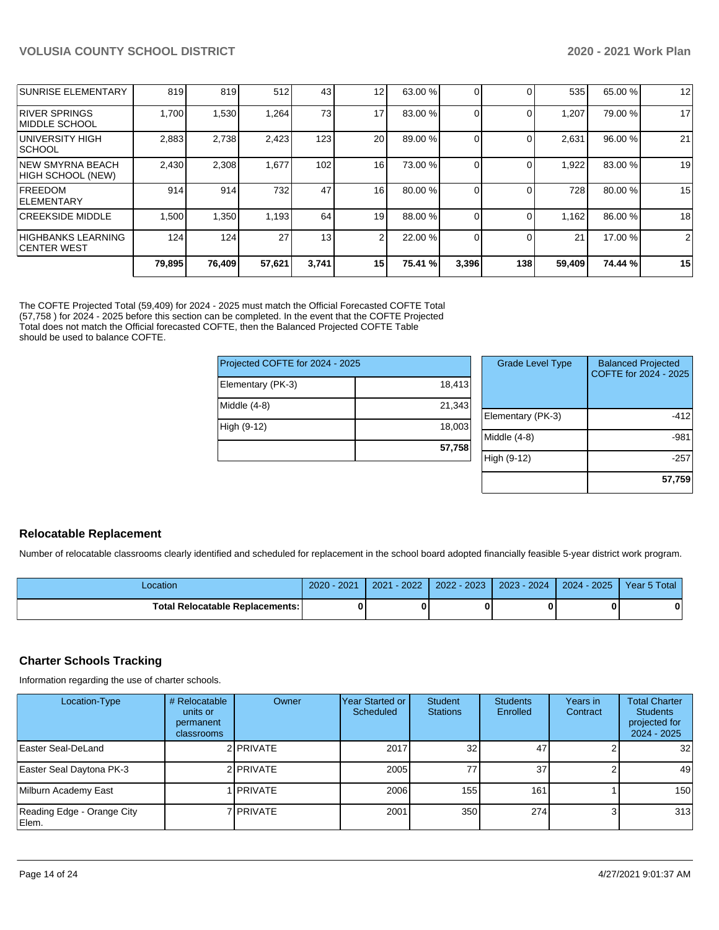|                                               | 79.895 | 76,409 | 57,621 | 3,741 | 15 <sub>1</sub> | 75.41 % | 3,396 | 138 | 59,409 | 74.44 % | 15             |
|-----------------------------------------------|--------|--------|--------|-------|-----------------|---------|-------|-----|--------|---------|----------------|
| HIGHBANKS LEARNING<br><b>ICENTER WEST</b>     | 124    | 124    | 27     | 13    | 2               | 22.00 % |       |     | 21     | 17.00 % | $\overline{2}$ |
| <b>CREEKSIDE MIDDLE</b>                       | 1,500  | 1,350  | 1,193  | 64    | 19              | 88.00 % |       |     | 1,162  | 86.00 % | 18             |
| <b>FREEDOM</b><br><b>IELEMENTARY</b>          | 914    | 914    | 732    | 47    | 16 <sub>1</sub> | 80.00 % |       |     | 728    | 80.00 % | 15             |
| <b>INEW SMYRNA BEACH</b><br>HIGH SCHOOL (NEW) | 2,430  | 2,308  | 1,677  | 102   | 16 <sub>1</sub> | 73.00 % |       |     | 1,922  | 83.00 % | 19             |
| UNIVERSITY HIGH<br><b>ISCHOOL</b>             | 2,883  | 2,738  | 2,423  | 123   | 20              | 89.00 % |       |     | 2,631  | 96.00 % | 21             |
| <b>RIVER SPRINGS</b><br><b>IMIDDLE SCHOOL</b> | 1.700  | .530   | 1,264  | 73    | 17              | 83.00 % |       |     | 1,207  | 79.00 % | 17             |
| <b>SUNRISE ELEMENTARY</b>                     | 819    | 819    | 512    | 43    | 12 <sub>1</sub> | 63.00 % |       |     | 535    | 65.00 % | 12             |

The COFTE Projected Total (59,409) for 2024 - 2025 must match the Official Forecasted COFTE Total (57,758 ) for 2024 - 2025 before this section can be completed. In the event that the COFTE Projected Total does not match the Official forecasted COFTE, then the Balanced Projected COFTE Table should be used to balance COFTE.

| Projected COFTE for 2024 - 2025 |        |  |
|---------------------------------|--------|--|
| Elementary (PK-3)               | 18,413 |  |
| Middle $(4-8)$                  | 21,343 |  |
| High (9-12)                     | 18,003 |  |
|                                 | 57,758 |  |

| <b>Grade Level Type</b> | <b>Balanced Projected</b><br>COFTE for 2024 - 2025 |
|-------------------------|----------------------------------------------------|
| Elementary (PK-3)       | -412                                               |
| Middle $(4-8)$          | -981                                               |
| High (9-12)             | -257                                               |
|                         | 57,759                                             |

## **Relocatable Replacement**

Number of relocatable classrooms clearly identified and scheduled for replacement in the school board adopted financially feasible 5-year district work program.

| Location                                 | 2020 - 2021 | $2021 - 2022$ | 2022 - 2023   2023 - 2024   2024 - 2025   Year 5 Total |  |  |
|------------------------------------------|-------------|---------------|--------------------------------------------------------|--|--|
| <b>Total Relocatable Replacements: I</b> |             |               |                                                        |  |  |

#### **Charter Schools Tracking**

Information regarding the use of charter schools.

| Location-Type                       | # Relocatable<br>units or<br>permanent<br><b>classrooms</b> | Owner           | Year Started or<br>Scheduled | Student<br><b>Stations</b> | <b>Students</b><br>Enrolled | Years in<br>Contract | <b>Total Charter</b><br><b>Students</b><br>projected for<br>2024 - 2025 |
|-------------------------------------|-------------------------------------------------------------|-----------------|------------------------------|----------------------------|-----------------------------|----------------------|-------------------------------------------------------------------------|
| Easter Seal-DeLand                  |                                                             | 2 PRIVATE       | 2017                         | 32                         | 47                          |                      | 32                                                                      |
| Easter Seal Daytona PK-3            |                                                             | 2 PRIVATE       | 2005                         | 77                         | 37 <sup>1</sup>             |                      | 49                                                                      |
| Milburn Academy East                |                                                             | <b>IPRIVATE</b> | 2006                         | 155                        | 1611                        |                      | 150                                                                     |
| Reading Edge - Orange City<br>Elem. |                                                             | 7 I PRIVATE     | 2001                         | 350                        | 274                         | 3                    | 313                                                                     |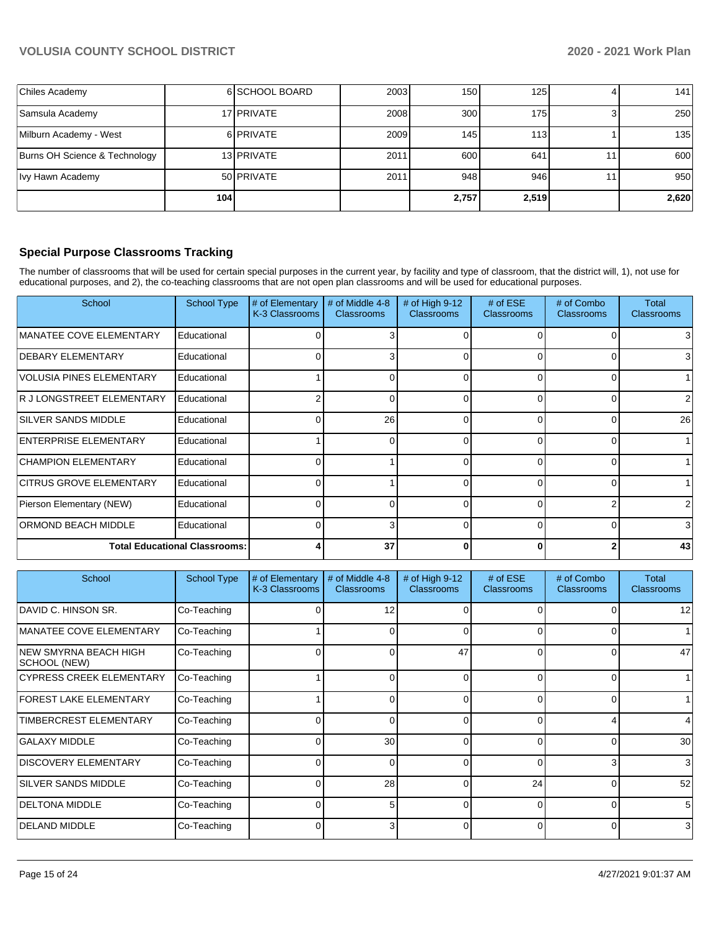| Chiles Academy                |     | 6 SCHOOL BOARD | 2003 | 150   | 125   | 141              |
|-------------------------------|-----|----------------|------|-------|-------|------------------|
| Samsula Academy               |     | 17 PRIVATE     | 2008 | 300   | 175   | 250              |
| Milburn Academy - West        |     | 6 PRIVATE      | 2009 | 145   | 113   | 135 <sup>1</sup> |
| Burns OH Science & Technology |     | 13 PRIVATE     | 2011 | 600   | 641   | 600              |
| Ivy Hawn Academy              |     | 50 PRIVATE     | 2011 | 948   | 946   | 950              |
|                               | 104 |                |      | 2,757 | 2,519 | 2,620            |

## **Special Purpose Classrooms Tracking**

The number of classrooms that will be used for certain special purposes in the current year, by facility and type of classroom, that the district will, 1), not use for educational purposes, and 2), the co-teaching classrooms that are not open plan classrooms and will be used for educational purposes.

| School                               | <b>School Type</b> | # of Elementary<br>K-3 Classrooms | # of Middle 4-8<br><b>Classrooms</b> | # of High $9-12$<br>Classrooms | # of $ESE$<br><b>Classrooms</b> | # of Combo<br><b>Classrooms</b> | Total<br><b>Classrooms</b> |
|--------------------------------------|--------------------|-----------------------------------|--------------------------------------|--------------------------------|---------------------------------|---------------------------------|----------------------------|
| <b>MANATEE COVE ELEMENTARY</b>       | Educational        |                                   | 3                                    |                                |                                 |                                 | 3                          |
| <b>DEBARY ELEMENTARY</b>             | Educational        |                                   | 3                                    |                                | $\Omega$                        |                                 | 3                          |
| <b>VOLUSIA PINES ELEMENTARY</b>      | Educational        |                                   |                                      |                                | $\Omega$                        |                                 |                            |
| R J LONGSTREET ELEMENTARY            | Educational        |                                   |                                      |                                | $\Omega$                        |                                 | 2                          |
| <b>SILVER SANDS MIDDLE</b>           | Educational        |                                   | 26                                   | ∩                              | $\Omega$                        |                                 | 26                         |
| <b>ENTERPRISE ELEMENTARY</b>         | Educational        |                                   | ი                                    |                                | $\Omega$                        |                                 |                            |
| <b>CHAMPION ELEMENTARY</b>           | Educational        |                                   |                                      |                                | $\Omega$                        |                                 |                            |
| <b>CITRUS GROVE ELEMENTARY</b>       | Educational        |                                   |                                      |                                | $\Omega$                        |                                 |                            |
| Pierson Elementary (NEW)             | Educational        |                                   | U                                    |                                | $\Omega$                        |                                 | 2                          |
| ORMOND BEACH MIDDLE                  | Educational        |                                   | 3                                    |                                | $\Omega$                        |                                 | 3                          |
| <b>Total Educational Classrooms:</b> |                    |                                   | 37                                   |                                | $\bf{0}$                        |                                 | 43                         |

| School                                       | <b>School Type</b> | # of Elementary<br>K-3 Classrooms | # of Middle 4-8<br><b>Classrooms</b> | # of High 9-12<br><b>Classrooms</b> | # of $ESE$<br><b>Classrooms</b> | # of Combo<br><b>Classrooms</b> | Total<br><b>Classrooms</b> |
|----------------------------------------------|--------------------|-----------------------------------|--------------------------------------|-------------------------------------|---------------------------------|---------------------------------|----------------------------|
| DAVID C. HINSON SR.                          | Co-Teaching        |                                   | 12                                   | 0                                   |                                 |                                 | 12                         |
| <b>MANATEE COVE ELEMENTARY</b>               | Co-Teaching        |                                   |                                      | 0                                   | 0                               |                                 |                            |
| <b>NEW SMYRNA BEACH HIGH</b><br>SCHOOL (NEW) | Co-Teaching        |                                   | n                                    | 47                                  | $\Omega$                        |                                 | 47                         |
| <b>CYPRESS CREEK ELEMENTARY</b>              | Co-Teaching        |                                   | 0                                    | 0                                   | 0                               | 0                               |                            |
| <b>FOREST LAKE ELEMENTARY</b>                | Co-Teaching        |                                   | 0                                    | 0                                   | 0                               | 0                               |                            |
| <b>TIMBERCREST ELEMENTARY</b>                | Co-Teaching        | 0                                 | 0                                    | 0                                   | $\Omega$                        |                                 | 4                          |
| <b>GALAXY MIDDLE</b>                         | Co-Teaching        | 0                                 | 30                                   | 0                                   | $\Omega$                        |                                 | 30                         |
| <b>DISCOVERY ELEMENTARY</b>                  | Co-Teaching        | O                                 | n                                    | 0                                   | $\Omega$                        | 3                               | 3                          |
| <b>SILVER SANDS MIDDLE</b>                   | Co-Teaching        |                                   | 28                                   | $\Omega$                            | 24                              | O                               | 52                         |
| <b>DELTONA MIDDLE</b>                        | Co-Teaching        |                                   | 5                                    | $\Omega$                            | $\Omega$                        | O                               | 5                          |
| DELAND MIDDLE                                | Co-Teaching        | $\Omega$                          | 3                                    | $\Omega$                            | $\Omega$                        | 0                               | 3                          |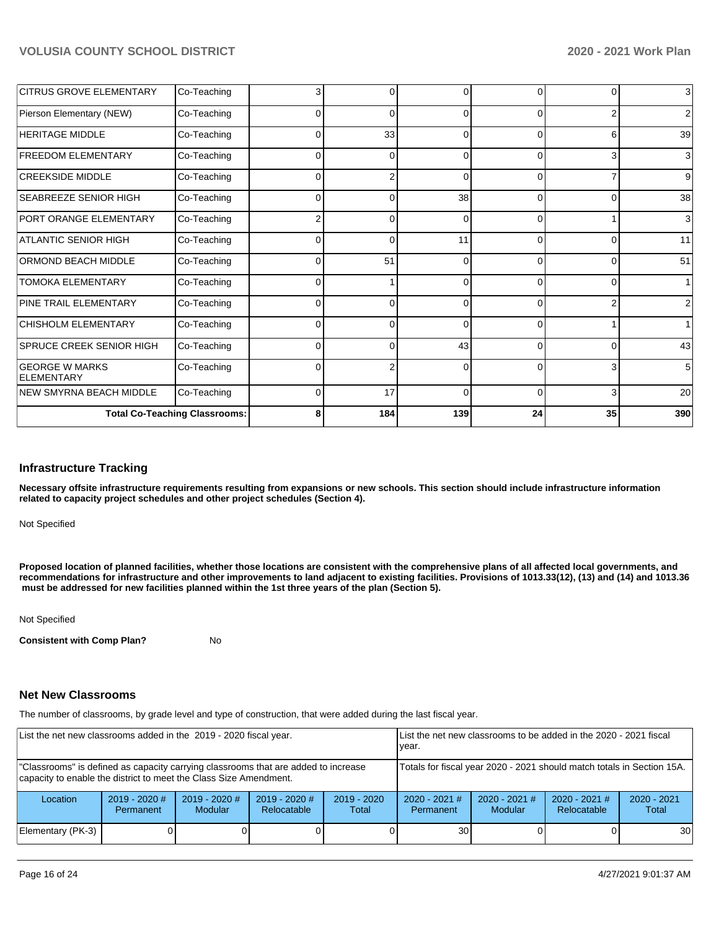| <b>CITRUS GROVE ELEMENTARY</b>             | Co-Teaching                          | 3        | $\overline{0}$ |          | 0        | 0        | $\overline{3}$ |
|--------------------------------------------|--------------------------------------|----------|----------------|----------|----------|----------|----------------|
| Pierson Elementary (NEW)                   | Co-Teaching                          | $\Omega$ | $\Omega$       | ∩        | 0        | 2        | 2              |
| <b>HERITAGE MIDDLE</b>                     | Co-Teaching                          | 0        | 33             | $\Omega$ | 0        | 6        | 39             |
| <b>FREEDOM ELEMENTARY</b>                  | Co-Teaching                          | $\Omega$ | 0              | $\Omega$ | 0        | 3        | $\overline{3}$ |
| <b>CREEKSIDE MIDDLE</b>                    | Co-Teaching                          | $\Omega$ | 2              | 0        | $\Omega$ |          | 9              |
| SEABREEZE SENIOR HIGH                      | Co-Teaching                          | 0        | $\Omega$       | 38       | 0        | $\Omega$ | 38             |
| PORT ORANGE ELEMENTARY                     | Co-Teaching                          |          | $\Omega$       |          | ŋ        |          | 3              |
| <b>ATLANTIC SENIOR HIGH</b>                | Co-Teaching                          | 0        | $\overline{0}$ | 11       | 0        | 0        | 11             |
| <b>ORMOND BEACH MIDDLE</b>                 | Co-Teaching                          | $\Omega$ | 51             | $\Omega$ | 0        | 0        | 51             |
| <b>TOMOKA ELEMENTARY</b>                   | Co-Teaching                          | $\Omega$ |                | C        | O        | 0        |                |
| PINE TRAIL ELEMENTARY                      | Co-Teaching                          | 0        | $\overline{0}$ | 0        | 0        | 2        | $\overline{2}$ |
| <b>CHISHOLM ELEMENTARY</b>                 | Co-Teaching                          | $\Omega$ | $\Omega$       | $\Omega$ | $\Omega$ |          |                |
| SPRUCE CREEK SENIOR HIGH                   | Co-Teaching                          | 0        | $\Omega$       | 43       | O        | 0        | 43             |
| <b>GEORGE W MARKS</b><br><b>ELEMENTARY</b> | Co-Teaching                          | $\Omega$ | 2              | 0        | $\Omega$ | 3        | 5              |
| <b>NEW SMYRNA BEACH MIDDLE</b>             | Co-Teaching                          | $\Omega$ | 17             | $\Omega$ | $\Omega$ | 3        | 20             |
|                                            | <b>Total Co-Teaching Classrooms:</b> | 8        | 184            | 139      | 24       | 35       | 390            |

#### **Infrastructure Tracking**

**Necessary offsite infrastructure requirements resulting from expansions or new schools. This section should include infrastructure information related to capacity project schedules and other project schedules (Section 4).** 

Not Specified

**Proposed location of planned facilities, whether those locations are consistent with the comprehensive plans of all affected local governments, and recommendations for infrastructure and other improvements to land adjacent to existing facilities. Provisions of 1013.33(12), (13) and (14) and 1013.36 must be addressed for new facilities planned within the 1st three years of the plan (Section 5).** 

Not Specified

**Consistent with Comp Plan?** No

#### **Net New Classrooms**

The number of classrooms, by grade level and type of construction, that were added during the last fiscal year.

| List the net new classrooms added in the 2019 - 2020 fiscal year.                                                                                       |                              |                                   | List the net new classrooms to be added in the 2020 - 2021 fiscal<br>year. |                        |                                     |                                   |                                |                        |
|---------------------------------------------------------------------------------------------------------------------------------------------------------|------------------------------|-----------------------------------|----------------------------------------------------------------------------|------------------------|-------------------------------------|-----------------------------------|--------------------------------|------------------------|
| "Classrooms" is defined as capacity carrying classrooms that are added to increase<br>capacity to enable the district to meet the Class Size Amendment. |                              |                                   | Totals for fiscal year 2020 - 2021 should match totals in Section 15A.     |                        |                                     |                                   |                                |                        |
| Location                                                                                                                                                | $2019 - 2020$ #<br>Permanent | $2019 - 2020$ #<br><b>Modular</b> | $2019 - 2020$ #<br>Relocatable                                             | $2019 - 2020$<br>Total | $2020 - 2021$ #<br><b>Permanent</b> | $2020 - 2021$ #<br><b>Modular</b> | $2020 - 2021$ #<br>Relocatable | $2020 - 2021$<br>Total |
| Elementary (PK-3)                                                                                                                                       |                              |                                   | 30                                                                         |                        |                                     | 30                                |                                |                        |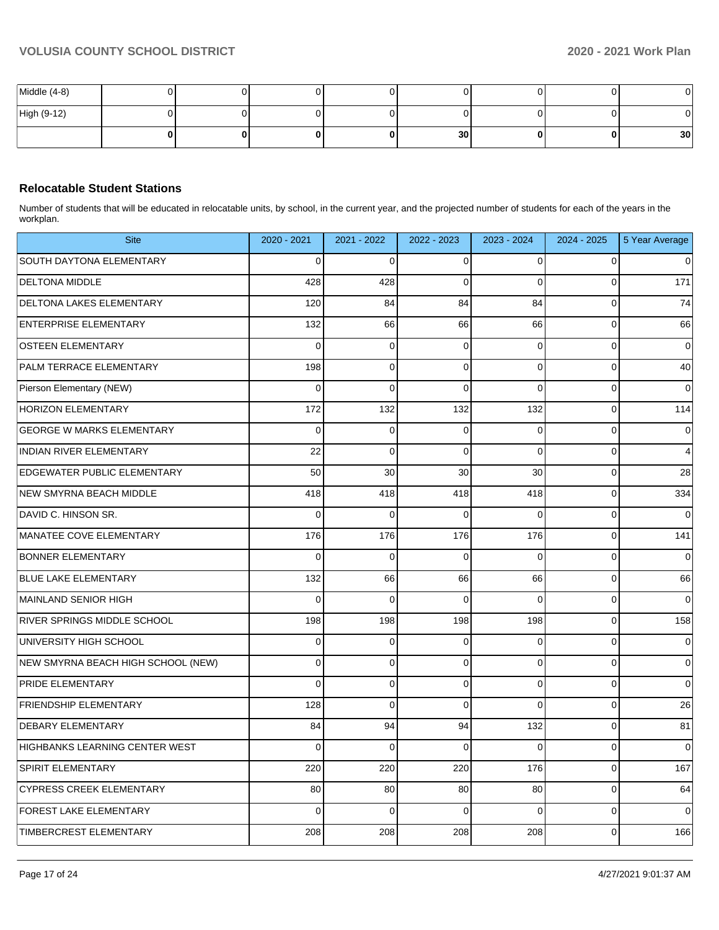| Middle (4-8) |  |  |                 |   |    |                 |
|--------------|--|--|-----------------|---|----|-----------------|
| High (9-12)  |  |  |                 |   |    |                 |
|              |  |  | 30 <sup>1</sup> | Ω | ΩI | 30 <sub>1</sub> |

## **Relocatable Student Stations**

Number of students that will be educated in relocatable units, by school, in the current year, and the projected number of students for each of the years in the workplan.

| <b>Site</b>                        | 2020 - 2021 | 2021 - 2022 | 2022 - 2023 | 2023 - 2024 | 2024 - 2025 | 5 Year Average |
|------------------------------------|-------------|-------------|-------------|-------------|-------------|----------------|
| <b>SOUTH DAYTONA ELEMENTARY</b>    | $\mathbf 0$ | $\mathbf 0$ | 0           | $\Omega$    | $\mathbf 0$ | 0              |
| <b>DELTONA MIDDLE</b>              | 428         | 428         | $\Omega$    | $\Omega$    | $\Omega$    | 171            |
| <b>DELTONA LAKES ELEMENTARY</b>    | 120         | 84          | 84          | 84          | $\mathbf 0$ | 74             |
| <b>ENTERPRISE ELEMENTARY</b>       | 132         | 66          | 66          | 66          | $\mathbf 0$ | 66             |
| <b>OSTEEN ELEMENTARY</b>           | $\Omega$    | $\mathbf 0$ | $\mathbf 0$ | $\Omega$    | $\mathbf 0$ | $\mathbf 0$    |
| PALM TERRACE ELEMENTARY            | 198         | 0           | $\mathbf 0$ | 0           | $\mathbf 0$ | 40             |
| Pierson Elementary (NEW)           | 0           | $\mathbf 0$ | $\mathbf 0$ | 0           | $\mathbf 0$ | $\mathbf 0$    |
| <b>HORIZON ELEMENTARY</b>          | 172         | 132         | 132         | 132         | $\mathbf 0$ | 114            |
| <b>GEORGE W MARKS ELEMENTARY</b>   | $\Omega$    | 0           | 0           | $\Omega$    | $\pmb{0}$   | $\mathbf 0$    |
| <b>INDIAN RIVER ELEMENTARY</b>     | 22          | $\mathbf 0$ | $\Omega$    | $\Omega$    | $\mathbf 0$ | $\overline{4}$ |
| EDGEWATER PUBLIC ELEMENTARY        | 50          | 30          | 30          | 30          | $\mathbf 0$ | 28             |
| NEW SMYRNA BEACH MIDDLE            | 418         | 418         | 418         | 418         | $\mathbf 0$ | 334            |
| DAVID C. HINSON SR.                | 0           | 0           | 0           | $\Omega$    | $\mathbf 0$ | $\mathbf 0$    |
| MANATEE COVE ELEMENTARY            | 176         | 176         | 176         | 176         | $\mathbf 0$ | 141            |
| <b>BONNER ELEMENTARY</b>           | $\mathbf 0$ | $\mathbf 0$ | $\mathbf 0$ | $\Omega$    | $\mathbf 0$ | $\mathbf 0$    |
| <b>BLUE LAKE ELEMENTARY</b>        | 132         | 66          | 66          | 66          | $\pmb{0}$   | 66             |
| MAINLAND SENIOR HIGH               | $\Omega$    | $\Omega$    | $\Omega$    | $\Omega$    | $\mathbf 0$ | $\Omega$       |
| <b>RIVER SPRINGS MIDDLE SCHOOL</b> | 198         | 198         | 198         | 198         | $\mathbf 0$ | 158            |
| UNIVERSITY HIGH SCHOOL             | $\mathbf 0$ | $\mathbf 0$ | $\mathbf 0$ | $\Omega$    | $\mathbf 0$ | $\mathbf 0$    |
| NEW SMYRNA BEACH HIGH SCHOOL (NEW) | 0           | 0           | $\mathbf 0$ | 0           | $\mathbf 0$ | 0              |
| <b>PRIDE ELEMENTARY</b>            | $\Omega$    | $\mathbf 0$ | $\mathbf 0$ | $\mathbf 0$ | $\mathbf 0$ | $\mathbf 0$    |
| <b>FRIENDSHIP ELEMENTARY</b>       | 128         | $\mathbf 0$ | $\mathbf 0$ | 0           | $\mathbf 0$ | 26             |
| <b>DEBARY ELEMENTARY</b>           | 84          | 94          | 94          | 132         | $\pmb{0}$   | 81             |
| HIGHBANKS LEARNING CENTER WEST     | $\Omega$    | $\Omega$    | $\Omega$    | $\Omega$    | $\mathbf 0$ | $\Omega$       |
| <b>SPIRIT ELEMENTARY</b>           | 220         | 220         | 220         | 176         | $\mathbf 0$ | 167            |
| <b>CYPRESS CREEK ELEMENTARY</b>    | 80          | 80          | 80          | 80          | $\mathbf 0$ | 64             |
| <b>FOREST LAKE ELEMENTARY</b>      | 0           | 0           | $\Omega$    | $\Omega$    | $\mathbf 0$ | $\mathbf 0$    |
| <b>TIMBERCREST ELEMENTARY</b>      | 208         | 208         | 208         | 208         | $\mathbf 0$ | 166            |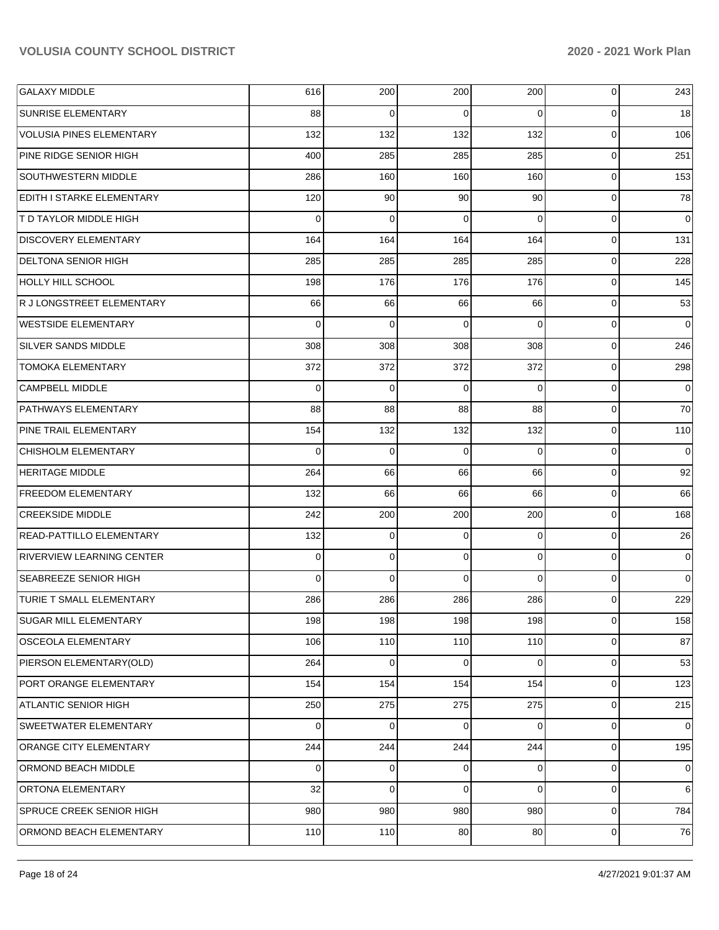| <b>GALAXY MIDDLE</b>             | 616 | 200 | 200      | 200            | 0           | 243            |
|----------------------------------|-----|-----|----------|----------------|-------------|----------------|
| <b>SUNRISE ELEMENTARY</b>        | 88  | 0   | 0        | $\Omega$       | 0           | 18             |
| VOLUSIA PINES ELEMENTARY         | 132 | 132 | 132      | 132            | $\mathbf 0$ | 106            |
| PINE RIDGE SENIOR HIGH           | 400 | 285 | 285      | 285            | $\mathbf 0$ | 251            |
| SOUTHWESTERN MIDDLE              | 286 | 160 | 160      | 160            | $\mathbf 0$ | 153            |
| EDITH I STARKE ELEMENTARY        | 120 | 90  | 90       | 90             | 0           | 78             |
| <b>T D TAYLOR MIDDLE HIGH</b>    | 0   | 0   | 0        | $\Omega$       | 0           | $\mathbf 0$    |
| <b>DISCOVERY ELEMENTARY</b>      | 164 | 164 | 164      | 164            | 0           | 131            |
| <b>DELTONA SENIOR HIGH</b>       | 285 | 285 | 285      | 285            | $\mathbf 0$ | 228            |
| <b>HOLLY HILL SCHOOL</b>         | 198 | 176 | 176      | 176            | $\mathbf 0$ | 145            |
| R J LONGSTREET ELEMENTARY        | 66  | 66  | 66       | 66             | 0           | 53             |
| <b>WESTSIDE ELEMENTARY</b>       | 0   | 0   | 0        | $\Omega$       | 0           | 0              |
| SILVER SANDS MIDDLE              | 308 | 308 | 308      | 308            | 0           | 246            |
| <b>TOMOKA ELEMENTARY</b>         | 372 | 372 | 372      | 372            | $\mathbf 0$ | 298            |
| CAMPBELL MIDDLE                  | 0   | 0   | 0        | $\Omega$       | $\mathbf 0$ | $\mathbf 0$    |
| <b>PATHWAYS ELEMENTARY</b>       | 88  | 88  | 88       | 88             | 0           | 70             |
| <b>PINE TRAIL ELEMENTARY</b>     | 154 | 132 | 132      | 132            | 0           | 110            |
| <b>CHISHOLM ELEMENTARY</b>       | 0   | 0   | 0        | $\Omega$       | 0           | 0              |
| <b>HERITAGE MIDDLE</b>           | 264 | 66  | 66       | 66             | $\mathbf 0$ | 92             |
| <b>FREEDOM ELEMENTARY</b>        | 132 | 66  | 66       | 66             | $\mathbf 0$ | 66             |
| <b>CREEKSIDE MIDDLE</b>          | 242 | 200 | 200      | 200            | 0           | 168            |
| READ-PATTILLO ELEMENTARY         | 132 | 0   | 0        | 0              | 0           | 26             |
| <b>RIVERVIEW LEARNING CENTER</b> | 0   | 0   | 0        | 0              | $\mathbf 0$ | $\overline{0}$ |
| <b>SEABREEZE SENIOR HIGH</b>     | 0   | 0   | $\Omega$ | 0              | $\mathbf 0$ | $\overline{0}$ |
| <b>TURIE T SMALL ELEMENTARY</b>  | 286 | 286 | 286      | 286            | 0           | 229            |
| <b>SUGAR MILL ELEMENTARY</b>     | 198 | 198 | 198      | 198            | $\mathbf 0$ | 158            |
| OSCEOLA ELEMENTARY               | 106 | 110 | 110      | 110            | 0           | 87             |
| PIERSON ELEMENTARY(OLD)          | 264 | 0   | 0        | $\Omega$       | 0           | 53             |
| PORT ORANGE ELEMENTARY           | 154 | 154 | 154      | 154            | $\mathbf 0$ | 123            |
| ATLANTIC SENIOR HIGH             | 250 | 275 | 275      | 275            | $\mathbf 0$ | 215            |
| <b>SWEETWATER ELEMENTARY</b>     | 0   | 0   | $\Omega$ | $\Omega$       | $\mathbf 0$ | 0              |
| ORANGE CITY ELEMENTARY           | 244 | 244 | 244      | 244            | 0           | 195            |
| <b>ORMOND BEACH MIDDLE</b>       | 0   | 0   | 0        | $\overline{0}$ | 0           | $\overline{0}$ |
| <b>ORTONA ELEMENTARY</b>         | 32  | 0   | 0        | 0              | $\mathbf 0$ | 6              |
| <b>SPRUCE CREEK SENIOR HIGH</b>  | 980 | 980 | 980      | 980            | $\mathbf 0$ | 784            |
| ORMOND BEACH ELEMENTARY          | 110 | 110 | 80       | 80             | 0           | 76             |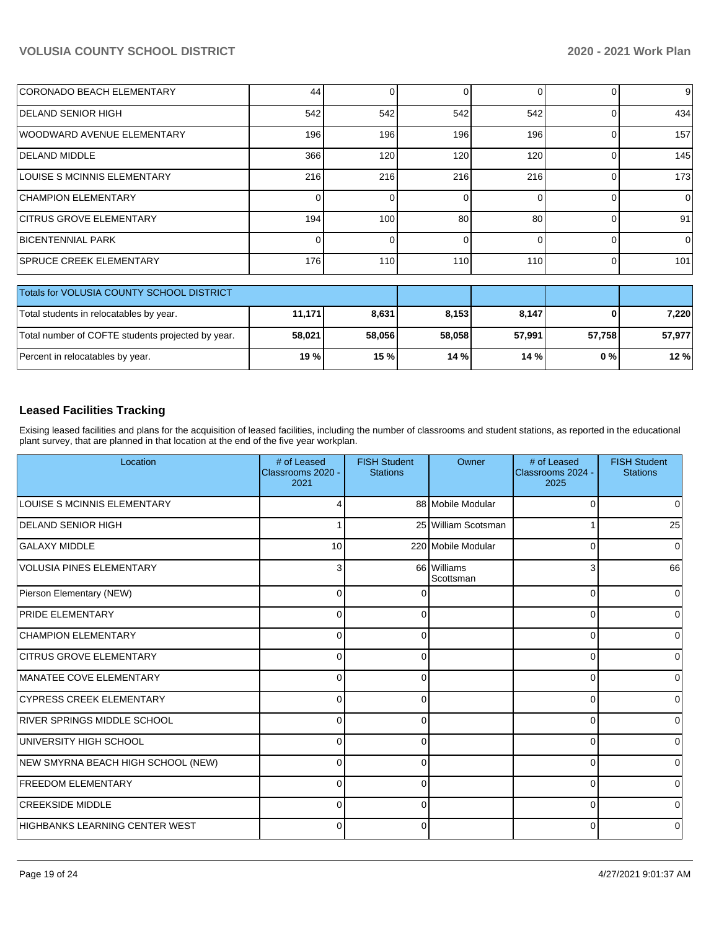| <b>CORONADO BEACH ELEMENTARY</b>          | 44  |     |              |     | 9        |
|-------------------------------------------|-----|-----|--------------|-----|----------|
| <b>IDELAND SENIOR HIGH</b>                | 542 | 542 | 542          | 542 | 434      |
| <b>IWOODWARD AVENUE ELEMENTARY</b>        | 196 | 196 | 196          | 196 | 157      |
| IDELAND MIDDLE                            | 366 | 120 | 120          | 120 | 145      |
| LOUISE S MCINNIS ELEMENTARY               | 216 | 216 | 216          | 216 | 173      |
| <b>CHAMPION ELEMENTARY</b>                |     |     |              |     | $\Omega$ |
| <b>CITRUS GROVE ELEMENTARY</b>            | 194 | 100 | 80           | 80  | 91       |
| <b>IBICENTENNIAL PARK</b>                 |     |     | <sup>0</sup> |     | $\Omega$ |
| <b>SPRUCE CREEK ELEMENTARY</b>            | 176 | 110 | 110          | 110 | 101      |
| Totals for VOLUSIA COUNTY SCHOOL DISTRICT |     |     |              |     |          |

| <b>TOTALS TOP VOLUSIA COUNTY SCHOOL DISTRICT</b>  |        |        |        |        |         |        |
|---------------------------------------------------|--------|--------|--------|--------|---------|--------|
| Total students in relocatables by year.           | 11.171 | 8.631  | 8.153  | 8,147  | 0 I     | 7.220  |
| Total number of COFTE students projected by year. | 58.021 | 58.056 | 58.058 | 57.991 | 57.7581 | 57.977 |
| Percent in relocatables by year.                  | 19 % l | 15 %   | 14%    | 14%    | 0 % I   | 12 %   |

## **Leased Facilities Tracking**

Exising leased facilities and plans for the acquisition of leased facilities, including the number of classrooms and student stations, as reported in the educational plant survey, that are planned in that location at the end of the five year workplan.

| Location                           | # of Leased<br>Classrooms 2020 -<br>2021 | <b>FISH Student</b><br><b>Stations</b> | Owner                    | # of Leased<br>Classrooms 2024 -<br>2025 | <b>FISH Student</b><br><b>Stations</b> |
|------------------------------------|------------------------------------------|----------------------------------------|--------------------------|------------------------------------------|----------------------------------------|
| <b>LOUISE S MCINNIS ELEMENTARY</b> |                                          |                                        | 88 Mobile Modular        | $\Omega$                                 | 0                                      |
| <b>DELAND SENIOR HIGH</b>          |                                          |                                        | 25 William Scotsman      |                                          | 25                                     |
| <b>GALAXY MIDDLE</b>               | 10                                       |                                        | 220 Mobile Modular       | 0                                        | 0                                      |
| VOLUSIA PINES ELEMENTARY           | 3                                        |                                        | 66 Williams<br>Scottsman | 3                                        | 66                                     |
| Pierson Elementary (NEW)           | $\Omega$                                 |                                        |                          | $\mathbf 0$                              | $\Omega$                               |
| <b>PRIDE ELEMENTARY</b>            | 0                                        | ∩                                      |                          | 0                                        |                                        |
| <b>CHAMPION ELEMENTARY</b>         | 0                                        |                                        |                          | 0                                        |                                        |
| <b>CITRUS GROVE ELEMENTARY</b>     | 0                                        | U                                      |                          | $\mathbf 0$                              | U                                      |
| MANATEE COVE ELEMENTARY            | 0                                        | U                                      |                          | 0                                        | 0                                      |
| <b>CYPRESS CREEK ELEMENTARY</b>    | 0                                        | U                                      |                          | $\mathbf 0$                              |                                        |
| <b>RIVER SPRINGS MIDDLE SCHOOL</b> | 0                                        | 0                                      |                          | 0                                        |                                        |
| UNIVERSITY HIGH SCHOOL             | 0                                        | 0                                      |                          | 0                                        |                                        |
| NEW SMYRNA BEACH HIGH SCHOOL (NEW) | 0                                        | 0                                      |                          | 0                                        | 0                                      |
| <b>FREEDOM ELEMENTARY</b>          | 0                                        | 0                                      |                          | 0                                        | $\Omega$                               |
| <b>CREEKSIDE MIDDLE</b>            | $\Omega$                                 | $\Omega$                               |                          | $\Omega$                                 | $\Omega$                               |
| HIGHBANKS LEARNING CENTER WEST     | $\Omega$                                 | $\Omega$                               |                          | $\overline{0}$                           | 0                                      |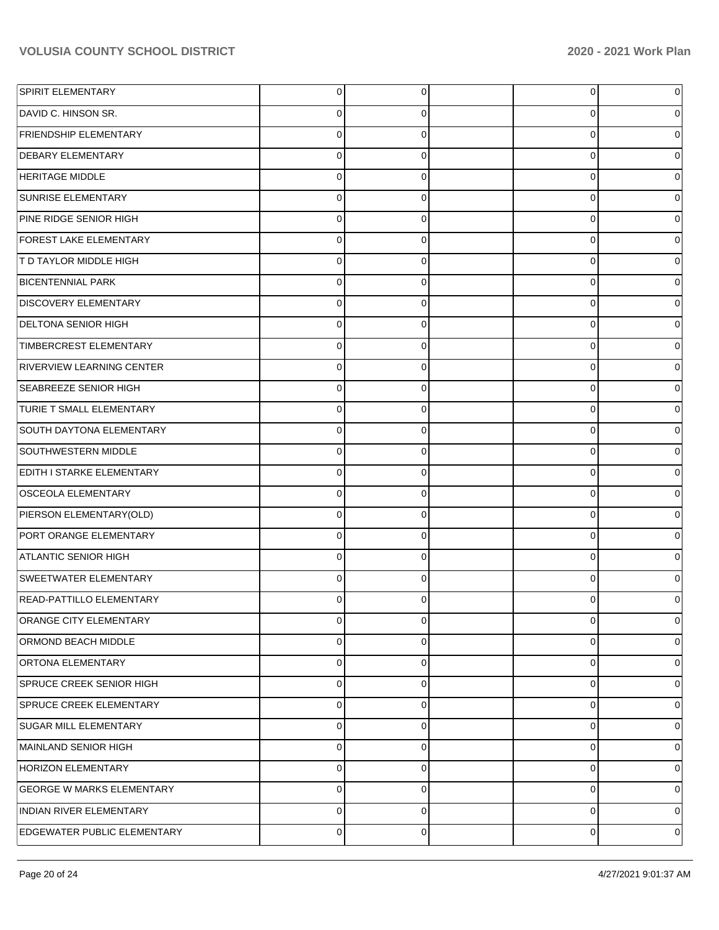| <b>SPIRIT ELEMENTARY</b>           | $\overline{0}$ | 0           | 0        | 0              |
|------------------------------------|----------------|-------------|----------|----------------|
| DAVID C. HINSON SR.                | $\Omega$       | $\Omega$    | $\Omega$ | 0              |
| <b>FRIENDSHIP ELEMENTARY</b>       | $\mathbf 0$    | $\mathbf 0$ | 0        | 0              |
| <b>DEBARY ELEMENTARY</b>           | $\mathbf 0$    | $\mathbf 0$ | 0        | 0              |
| <b>HERITAGE MIDDLE</b>             | $\mathbf 0$    | $\mathbf 0$ | 0        | 0              |
| <b>SUNRISE ELEMENTARY</b>          | $\mathbf 0$    | $\mathbf 0$ | 0        | 0              |
| PINE RIDGE SENIOR HIGH             | $\mathbf 0$    | $\mathbf 0$ | 0        | 0              |
| <b>FOREST LAKE ELEMENTARY</b>      | $\mathbf 0$    | $\mathbf 0$ | 0        | 0              |
| T D TAYLOR MIDDLE HIGH             | $\mathbf 0$    | $\mathbf 0$ | 0        | 0              |
| <b>BICENTENNIAL PARK</b>           | $\mathbf 0$    | $\mathbf 0$ | 0        | 0              |
| <b>DISCOVERY ELEMENTARY</b>        | $\mathbf 0$    | $\mathbf 0$ | 0        | 0              |
| <b>DELTONA SENIOR HIGH</b>         | $\mathbf 0$    | $\mathbf 0$ | 0        | 0              |
| TIMBERCREST ELEMENTARY             | $\mathbf 0$    | $\mathbf 0$ | 0        | 0              |
| <b>RIVERVIEW LEARNING CENTER</b>   | $\mathbf 0$    | $\mathbf 0$ | 0        | 0              |
| <b>SEABREEZE SENIOR HIGH</b>       | $\mathbf 0$    | $\mathbf 0$ | 0        | 0              |
| <b>TURIE T SMALL ELEMENTARY</b>    | $\mathbf 0$    | $\mathbf 0$ | 0        | 0              |
| <b>SOUTH DAYTONA ELEMENTARY</b>    | $\mathbf 0$    | $\mathbf 0$ | 0        | 0              |
| SOUTHWESTERN MIDDLE                | $\mathbf 0$    | $\mathbf 0$ | 0        | 0              |
| <b>EDITH I STARKE ELEMENTARY</b>   | $\mathbf 0$    | $\mathbf 0$ | 0        | 0              |
| <b>OSCEOLA ELEMENTARY</b>          | $\mathbf 0$    | $\mathbf 0$ | 0        | 0              |
| PIERSON ELEMENTARY(OLD)            | $\mathbf 0$    | $\mathbf 0$ | 0        | 0              |
| PORT ORANGE ELEMENTARY             | $\mathbf 0$    | $\mathbf 0$ | 0        | 0              |
| ATLANTIC SENIOR HIGH               | $\Omega$       | $\mathbf 0$ | $\Omega$ | 0              |
| <b>SWEETWATER ELEMENTARY</b>       | $\mathbf 0$    | $\mathbf 0$ | 0        | 0              |
| <b>READ-PATTILLO ELEMENTARY</b>    | 0              | $\Omega$    | 0        | 0              |
| ORANGE CITY ELEMENTARY             | $\mathbf 0$    | 0           | 0        | $\overline{0}$ |
| <b>ORMOND BEACH MIDDLE</b>         | $\Omega$       | $\Omega$    | $\Omega$ | 0              |
| ORTONA ELEMENTARY                  | $\Omega$       | $\mathbf 0$ | 0        | 0              |
| SPRUCE CREEK SENIOR HIGH           | $\Omega$       | $\mathbf 0$ | 0        | 0              |
| <b>SPRUCE CREEK ELEMENTARY</b>     | $\Omega$       | $\mathbf 0$ | 0        | $\Omega$       |
| <b>SUGAR MILL ELEMENTARY</b>       | $\Omega$       | $\mathbf 0$ | 0        | 0              |
| MAINLAND SENIOR HIGH               | $\Omega$       | $\mathbf 0$ | 0        | $\Omega$       |
| <b>HORIZON ELEMENTARY</b>          | $\Omega$       | $\mathbf 0$ | 0        | 0              |
| <b>GEORGE W MARKS ELEMENTARY</b>   | $\Omega$       | $\mathbf 0$ | 0        | $\Omega$       |
| <b>INDIAN RIVER ELEMENTARY</b>     | $\Omega$       | $\Omega$    | 0        | 0              |
| <b>EDGEWATER PUBLIC ELEMENTARY</b> | $\Omega$       | $\mathbf 0$ | 0        | $\Omega$       |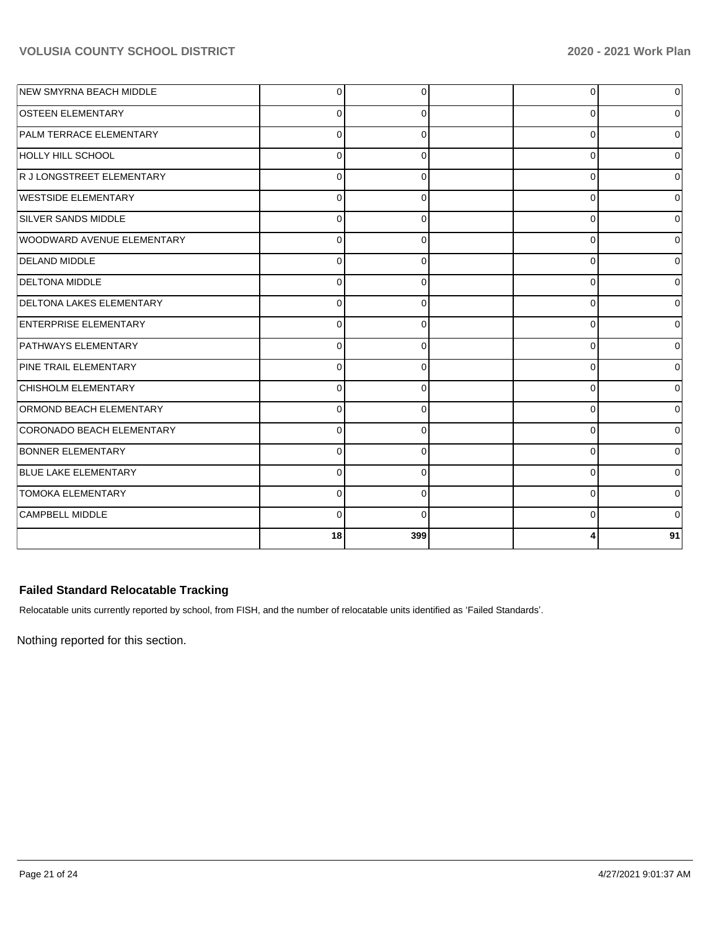| NEW SMYRNA BEACH MIDDLE        | $\Omega$ | 0        | 0        | $\Omega$    |
|--------------------------------|----------|----------|----------|-------------|
| <b>OSTEEN ELEMENTARY</b>       | 0        | $\Omega$ | 0        | 0           |
| <b>PALM TERRACE ELEMENTARY</b> | $\Omega$ | 0        | 0        | 0           |
| HOLLY HILL SCHOOL              | $\Omega$ | $\Omega$ | $\Omega$ | $\Omega$    |
| R J LONGSTREET ELEMENTARY      | $\Omega$ | 0        | $\Omega$ | 0           |
| WESTSIDE ELEMENTARY            | $\Omega$ | 0        | 0        | 0           |
| SILVER SANDS MIDDLE            | O        | 0        | $\Omega$ | $\Omega$    |
| WOODWARD AVENUE ELEMENTARY     | $\Omega$ | 0        | 0        | 0           |
| <b>DELAND MIDDLE</b>           | 0        | 0        | 0        | 0           |
| <b>DELTONA MIDDLE</b>          | $\Omega$ | $\Omega$ | $\Omega$ | $\Omega$    |
| DELTONA LAKES ELEMENTARY       | $\Omega$ | 0        | $\Omega$ | $\Omega$    |
| ENTERPRISE ELEMENTARY          | $\Omega$ | $\Omega$ | $\Omega$ | ٥I          |
| <b>PATHWAYS ELEMENTARY</b>     | $\Omega$ | 0        | 0        | 0           |
| PINE TRAIL ELEMENTARY          | $\Omega$ | $\Omega$ | 0        | 0           |
| CHISHOLM ELEMENTARY            | $\Omega$ | $\Omega$ | $\Omega$ | $\Omega$    |
| <b>ORMOND BEACH ELEMENTARY</b> | 0        | 0        | 0        | 0           |
| CORONADO BEACH ELEMENTARY      | 0        | 0        | 0        | 0           |
| <b>BONNER ELEMENTARY</b>       | $\Omega$ | 0        | 0        | $\Omega$    |
| <b>BLUE LAKE ELEMENTARY</b>    | $\Omega$ | $\Omega$ | $\Omega$ | 0           |
| <b>TOMOKA ELEMENTARY</b>       | $\Omega$ | 0        | 0        | $\mathbf 0$ |
| CAMPBELL MIDDLE                | $\Omega$ | $\Omega$ | 0        | $\Omega$    |
|                                | 18       | 399      |          | 91          |

## **Failed Standard Relocatable Tracking**

Relocatable units currently reported by school, from FISH, and the number of relocatable units identified as 'Failed Standards'.

Nothing reported for this section.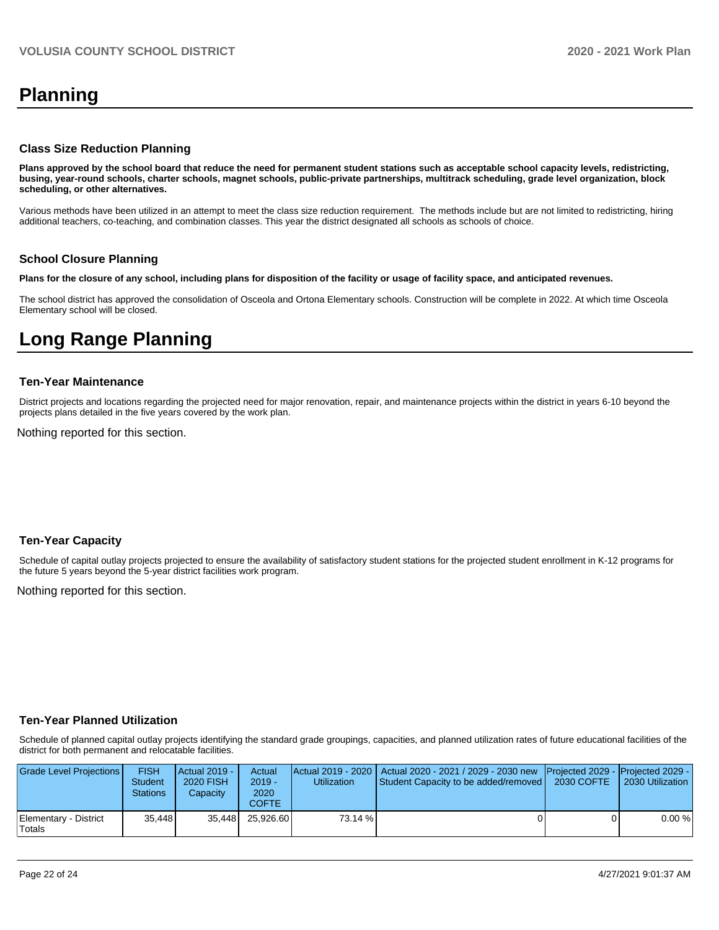# **Planning**

#### **Class Size Reduction Planning**

**Plans approved by the school board that reduce the need for permanent student stations such as acceptable school capacity levels, redistricting, busing, year-round schools, charter schools, magnet schools, public-private partnerships, multitrack scheduling, grade level organization, block scheduling, or other alternatives.**

Various methods have been utilized in an attempt to meet the class size reduction requirement. The methods include but are not limited to redistricting, hiring additional teachers, co-teaching, and combination classes. This year the district designated all schools as schools of choice.

#### **School Closure Planning**

**Plans for the closure of any school, including plans for disposition of the facility or usage of facility space, and anticipated revenues.** 

The school district has approved the consolidation of Osceola and Ortona Elementary schools. Construction will be complete in 2022. At which time Osceola Elementary school will be closed.

## **Long Range Planning**

#### **Ten-Year Maintenance**

District projects and locations regarding the projected need for major renovation, repair, and maintenance projects within the district in years 6-10 beyond the projects plans detailed in the five years covered by the work plan.

Nothing reported for this section.

#### **Ten-Year Capacity**

Schedule of capital outlay projects projected to ensure the availability of satisfactory student stations for the projected student enrollment in K-12 programs for the future 5 years beyond the 5-year district facilities work program.

Nothing reported for this section.

#### **Ten-Year Planned Utilization**

Schedule of planned capital outlay projects identifying the standard grade groupings, capacities, and planned utilization rates of future educational facilities of the district for both permanent and relocatable facilities.

| Grade Level Projections         | <b>FISH</b><br><b>Student</b><br><b>Stations</b> | <b>Actual 2019 -</b><br>2020 FISH<br>Capacitv | Actual<br>$2019 -$<br>2020<br>COFTE. | <b>Utilization</b> | Actual 2019 - 2020   Actual 2020 - 2021 / 2029 - 2030 new<br><b>Student Capacity to be added/removed  </b> | <b>Projected 2029 - Projected 2029 -</b><br>2030 COFTE | 2030 Utilization |
|---------------------------------|--------------------------------------------------|-----------------------------------------------|--------------------------------------|--------------------|------------------------------------------------------------------------------------------------------------|--------------------------------------------------------|------------------|
| Elementary - District<br>Totals | 35.448                                           | 35.448                                        | 25.926.60                            | 73.14 %            |                                                                                                            |                                                        | 0.00%            |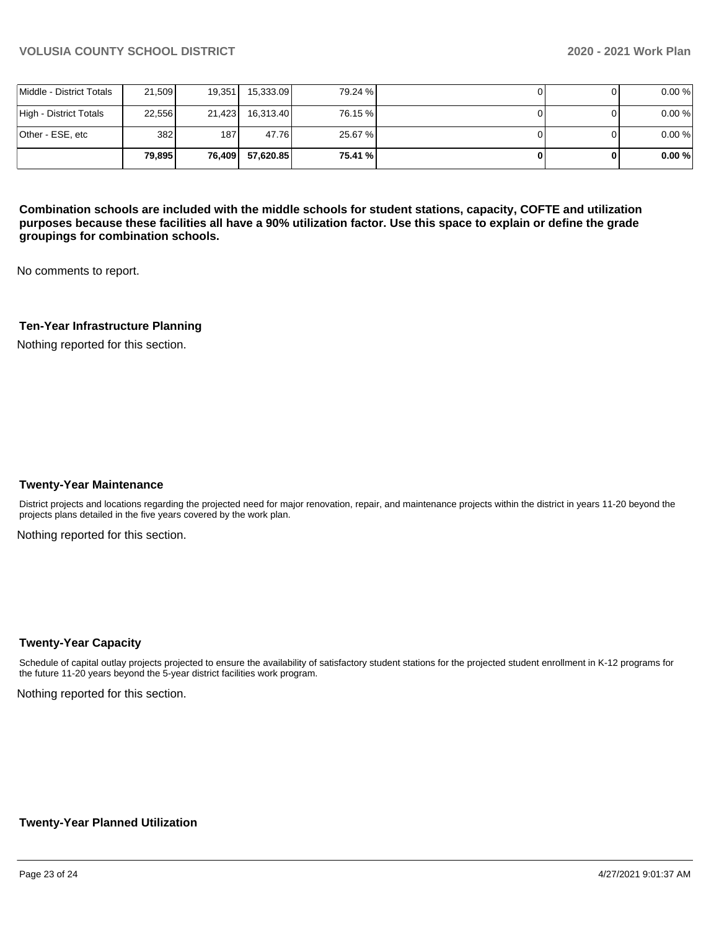|                          | 79.895 | 76,409 | 57.620.85 | 75.41 % |  | 0.00% |
|--------------------------|--------|--------|-----------|---------|--|-------|
| Other - ESE, etc         | 382    | 187 I  | 47.76     | 25.67 % |  | 0.00% |
| High - District Totals   | 22.556 | 21.423 | 16,313.40 | 76.15 % |  | 0.00% |
| Middle - District Totals | 21,509 | 19,351 | 15,333.09 | 79.24 % |  | 0.00% |

**Combination schools are included with the middle schools for student stations, capacity, COFTE and utilization purposes because these facilities all have a 90% utilization factor. Use this space to explain or define the grade groupings for combination schools.** 

No comments to report.

## **Ten-Year Infrastructure Planning**

Nothing reported for this section.

#### **Twenty-Year Maintenance**

District projects and locations regarding the projected need for major renovation, repair, and maintenance projects within the district in years 11-20 beyond the projects plans detailed in the five years covered by the work plan.

Nothing reported for this section.

#### **Twenty-Year Capacity**

Schedule of capital outlay projects projected to ensure the availability of satisfactory student stations for the projected student enrollment in K-12 programs for the future 11-20 years beyond the 5-year district facilities work program.

Nothing reported for this section.

#### **Twenty-Year Planned Utilization**